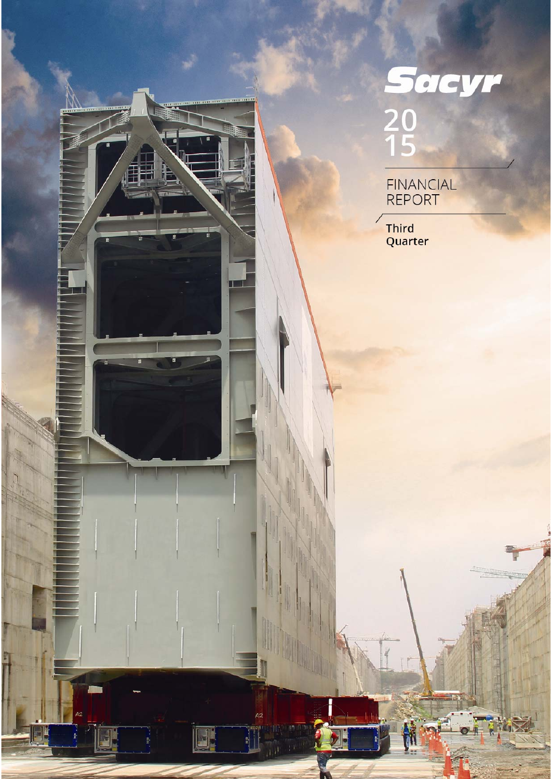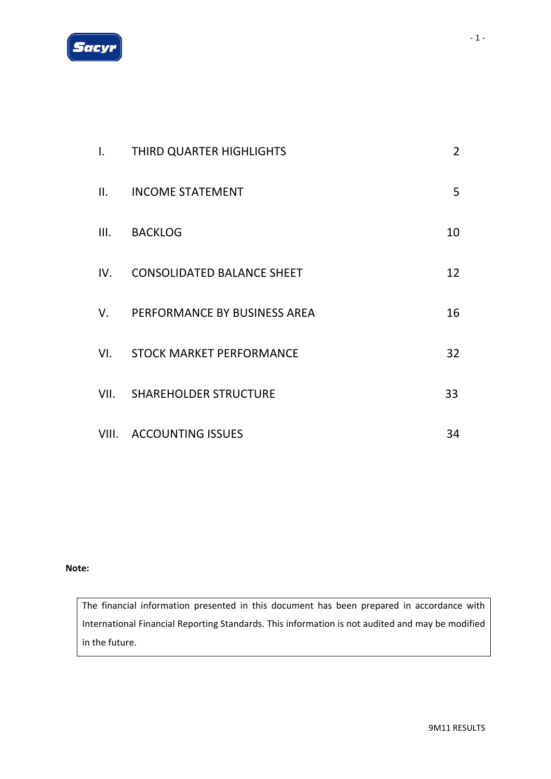

| $\mathbf{I}$ . | THIRD QUARTER HIGHLIGHTS          | $\overline{2}$ |
|----------------|-----------------------------------|----------------|
| II.            | <b>INCOME STATEMENT</b>           | 5              |
|                | III. BACKLOG                      | 10             |
| IV.            | <b>CONSOLIDATED BALANCE SHEET</b> | 12             |
| V.             | PERFORMANCE BY BUSINESS AREA      | 16             |
| VI.            | STOCK MARKET PERFORMANCE          | 32             |
|                | VII. SHAREHOLDER STRUCTURE        | 33             |
|                | VIII. ACCOUNTING ISSUES           | 34             |

#### **Note:**

The financial information presented in this document has been prepared in accordance with International Financial Reporting Standards. This information is not audited and may be modified in the future.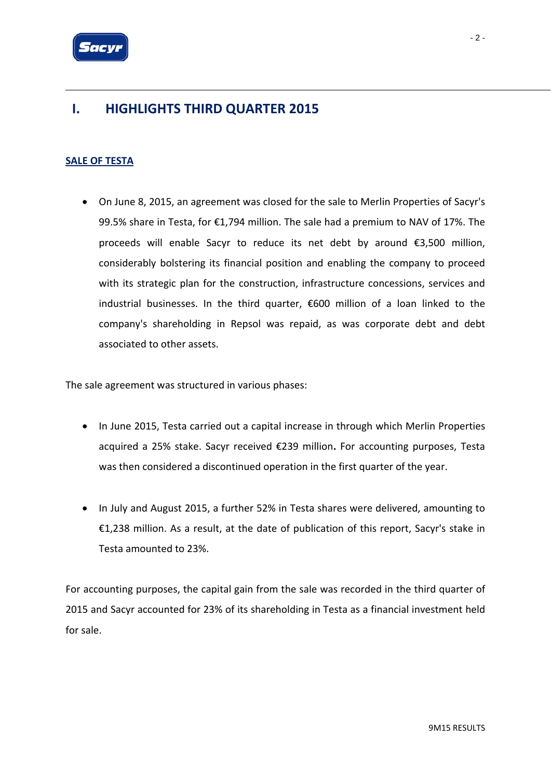

### **I. HIGHLIGHTS THIRD QUARTER 2015**

### **SALE OF TESTA**

• On June 8, 2015, an agreement was closed for the sale to Merlin Properties of Sacyr's 99.5% share in Testa, for €1,794 million. The sale had a premium to NAV of 17%. The proceeds will enable Sacyr to reduce its net debt by around €3,500 million, considerably bolstering its financial position and enabling the company to proceed with its strategic plan for the construction, infrastructure concessions, services and industrial businesses. In the third quarter, €600 million of a loan linked to the company's shareholding in Repsol was repaid, as was corporate debt and debt associated to other assets.

The sale agreement was structured in various phases:

- In June 2015, Testa carried out a capital increase in through which Merlin Properties acquired a 25% stake. Sacyr received €239 million**.** For accounting purposes, Testa was then considered a discontinued operation in the first quarter of the year.
- In July and August 2015, a further 52% in Testa shares were delivered, amounting to €1,238 million. As a result, at the date of publication of this report, Sacyr's stake in Testa amounted to 23%.

For accounting purposes, the capital gain from the sale was recorded in the third quarter of 2015 and Sacyr accounted for 23% of its shareholding in Testa as a financial investment held for sale.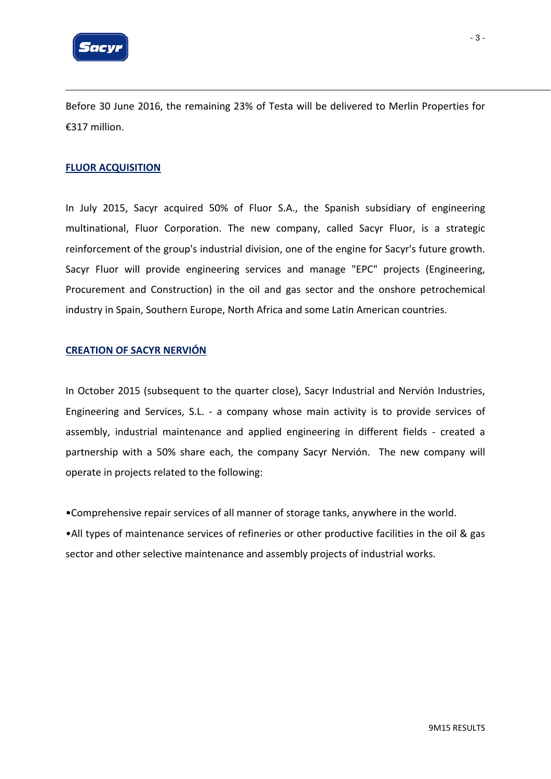

Before 30 June 2016, the remaining 23% of Testa will be delivered to Merlin Properties for €317 million.

#### **FLUOR ACQUISITION**

In July 2015, Sacyr acquired 50% of Fluor S.A., the Spanish subsidiary of engineering multinational, Fluor Corporation. The new company, called Sacyr Fluor, is a strategic reinforcement of the group's industrial division, one of the engine for Sacyr's future growth. Sacyr Fluor will provide engineering services and manage "EPC" projects (Engineering, Procurement and Construction) in the oil and gas sector and the onshore petrochemical industry in Spain, Southern Europe, North Africa and some Latin American countries.

### **CREATION OF SACYR NERVIÓN**

In October 2015 (subsequent to the quarter close), Sacyr Industrial and Nervión Industries, Engineering and Services, S.L. - a company whose main activity is to provide services of assembly, industrial maintenance and applied engineering in different fields - created a partnership with a 50% share each, the company Sacyr Nervión. The new company will operate in projects related to the following:

•Comprehensive repair services of all manner of storage tanks, anywhere in the world.

•All types of maintenance services of refineries or other productive facilities in the oil & gas sector and other selective maintenance and assembly projects of industrial works.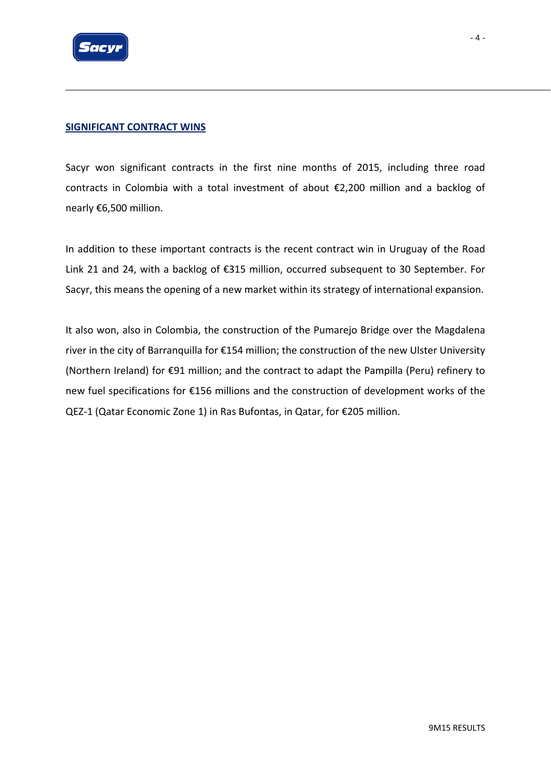

### **SIGNIFICANT CONTRACT WINS**

Sacyr won significant contracts in the first nine months of 2015, including three road contracts in Colombia with a total investment of about €2,200 million and a backlog of nearly €6,500 million.

In addition to these important contracts is the recent contract win in Uruguay of the Road Link 21 and 24, with a backlog of €315 million, occurred subsequent to 30 September. For Sacyr, this means the opening of a new market within its strategy of international expansion.

It also won, also in Colombia, the construction of the Pumarejo Bridge over the Magdalena river in the city of Barranquilla for €154 million; the construction of the new Ulster University (Northern Ireland) for €91 million; and the contract to adapt the Pampilla (Peru) refinery to new fuel specifications for €156 millions and the construction of development works of the QEZ-1 (Qatar Economic Zone 1) in Ras Bufontas, in Qatar, for €205 million.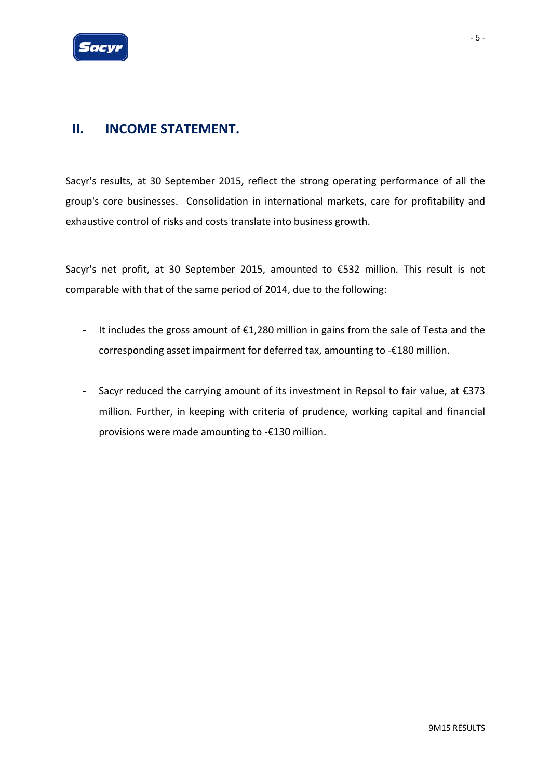

Sacyr's results, at 30 September 2015, reflect the strong operating performance of all the group's core businesses. Consolidation in international markets, care for profitability and exhaustive control of risks and costs translate into business growth.

Sacyr's net profit, at 30 September 2015, amounted to €532 million. This result is not comparable with that of the same period of 2014, due to the following:

- It includes the gross amount of €1,280 million in gains from the sale of Testa and the corresponding asset impairment for deferred tax, amounting to ‐€180 million.
- Sacyr reduced the carrying amount of its investment in Repsol to fair value, at €373 million. Further, in keeping with criteria of prudence, working capital and financial provisions were made amounting to ‐€130 million.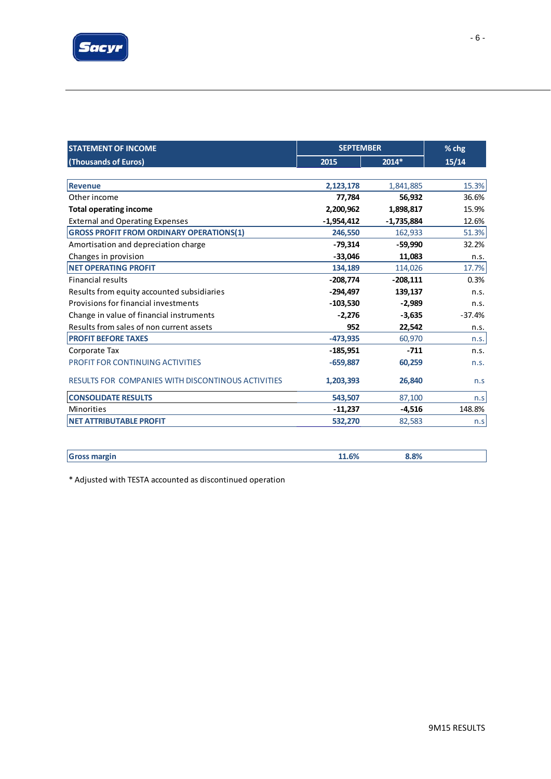

| <b>STATEMENT OF INCOME</b>                         | <b>SEPTEMBER</b> | % chg        |          |
|----------------------------------------------------|------------------|--------------|----------|
| (Thousands of Euros)                               | 2015             | 2014*        | 15/14    |
|                                                    |                  |              |          |
| Revenue                                            | 2,123,178        | 1,841,885    | 15.3%    |
| Other income                                       | 77,784           | 56,932       | 36.6%    |
| <b>Total operating income</b>                      | 2,200,962        | 1,898,817    | 15.9%    |
| <b>External and Operating Expenses</b>             | $-1,954,412$     | $-1,735,884$ | 12.6%    |
| <b>GROSS PROFIT FROM ORDINARY OPERATIONS(1)</b>    | 246,550          | 162,933      | 51.3%    |
| Amortisation and depreciation charge               | $-79,314$        | $-59,990$    | 32.2%    |
| Changes in provision                               | $-33,046$        | 11,083       | n.s.     |
| <b>NET OPERATING PROFIT</b>                        | 134,189          | 114,026      | 17.7%    |
| <b>Financial results</b>                           | $-208,774$       | $-208,111$   | 0.3%     |
| Results from equity accounted subsidiaries         | $-294,497$       | 139,137      | n.s.     |
| Provisions for financial investments               | $-103,530$       | $-2,989$     | n.s.     |
| Change in value of financial instruments           | $-2,276$         | $-3,635$     | $-37.4%$ |
| Results from sales of non current assets           | 952              | 22,542       | n.s.     |
| <b>PROFIT BEFORE TAXES</b>                         | $-473,935$       | 60,970       | n.s.     |
| Corporate Tax                                      | $-185,951$       | $-711$       | n.s.     |
| <b>PROFIT FOR CONTINUING ACTIVITIES</b>            | $-659,887$       | 60,259       | n.s.     |
| RESULTS FOR COMPANIES WITH DISCONTINOUS ACTIVITIES | 1,203,393        | 26,840       | n.s      |
| <b>CONSOLIDATE RESULTS</b>                         | 543,507          | 87,100       | n.s      |
| Minorities                                         | $-11,237$        | $-4,516$     | 148.8%   |
| <b>NET ATTRIBUTABLE PROFIT</b>                     | 532,270          | 82,583       | n.s      |

| -<br>----- | i Coz | 3.8% |
|------------|-------|------|
|            |       |      |

\* Adjusted with TESTA accounted as discontinued operation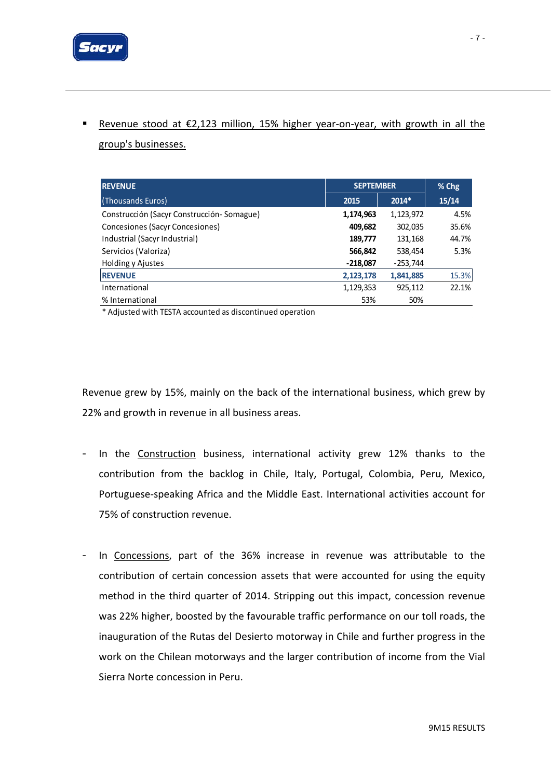

# ■ Revenue stood at €2,123 million, 15% higher year-on-year, with growth in all the

group's businesses.

| <b>REVENUE</b>                              | <b>SEPTEMBER</b> | % Chg      |       |
|---------------------------------------------|------------------|------------|-------|
| (Thousands Euros)                           | 2015             | $2014*$    | 15/14 |
| Construcción (Sacyr Construcción - Somague) | 1,174,963        | 1,123,972  | 4.5%  |
| Concesiones (Sacyr Concesiones)             | 409,682          | 302,035    | 35.6% |
| Industrial (Sacyr Industrial)               | 189,777          | 131,168    | 44.7% |
| Servicios (Valoriza)                        | 566,842          | 538,454    | 5.3%  |
| Holding y Ajustes                           | $-218,087$       | $-253,744$ |       |
| <b>REVENUE</b>                              | 2,123,178        | 1,841,885  | 15.3% |
| International                               | 1,129,353        | 925,112    | 22.1% |
| % International                             | 53%              | 50%        |       |

\* Adjusted with TESTA accounted as discontinued operation

Revenue grew by 15%, mainly on the back of the international business, which grew by 22% and growth in revenue in all business areas.

- In the Construction business, international activity grew 12% thanks to the contribution from the backlog in Chile, Italy, Portugal, Colombia, Peru, Mexico, Portuguese‐speaking Africa and the Middle East. International activities account for 75% of construction revenue.
- In Concessions, part of the 36% increase in revenue was attributable to the contribution of certain concession assets that were accounted for using the equity method in the third quarter of 2014. Stripping out this impact, concession revenue was 22% higher, boosted by the favourable traffic performance on our toll roads, the inauguration of the Rutas del Desierto motorway in Chile and further progress in the work on the Chilean motorways and the larger contribution of income from the Vial Sierra Norte concession in Peru.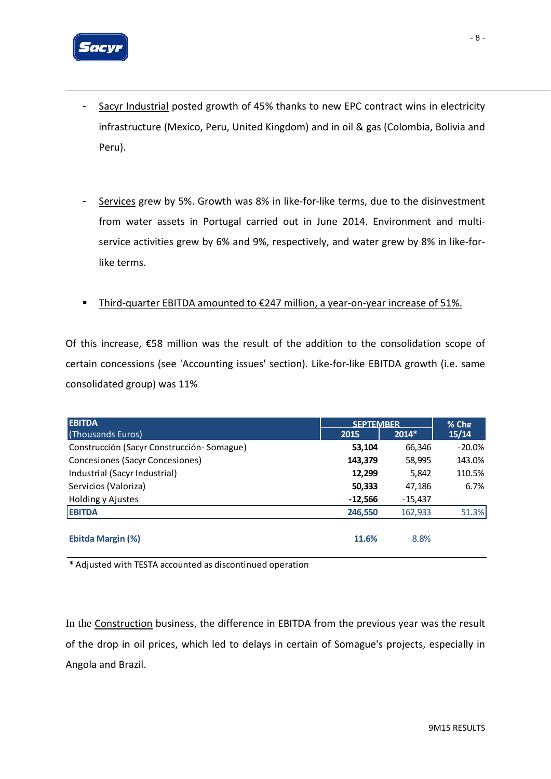

- Sacyr Industrial posted growth of 45% thanks to new EPC contract wins in electricity infrastructure (Mexico, Peru, United Kingdom) and in oil & gas (Colombia, Bolivia and Peru).
- Services grew by 5%. Growth was 8% in like‐for‐like terms, due to the disinvestment from water assets in Portugal carried out in June 2014. Environment and multiservice activities grew by 6% and 9%, respectively, and water grew by 8% in like-forlike terms.
- Third-quarter EBITDA amounted to €247 million, a year-on-year increase of 51%.

Of this increase, €58 million was the result of the addition to the consolidation scope of certain concessions (see 'Accounting issues' section). Like‐for‐like EBITDA growth (i.e. same consolidated group) was 11%

| <b>EBITDA</b>                             | <b>SFPTFMBFR</b> | $%$ Chg   |           |
|-------------------------------------------|------------------|-----------|-----------|
| (Thousands Euros)                         | 2015             | $2014*$   | 15/14     |
| Construcción (Sacyr Construcción-Somague) | 53,104           | 66,346    | $-20.0\%$ |
| Concesiones (Sacyr Concesiones)           | 143,379          | 58,995    | 143.0%    |
| Industrial (Sacyr Industrial)             | 12,299           | 5,842     | 110.5%    |
| Servicios (Valoriza)                      | 50,333           | 47,186    | 6.7%      |
| Holding y Ajustes                         | $-12,566$        | $-15,437$ |           |
| <b>EBITDA</b>                             | 246,550          | 162,933   | 51.3%     |
| Ebitda Margin (%)                         | 11.6%            | 8.8%      |           |

\* Adjusted with TESTA accounted as discontinued operation

In the Construction business, the difference in EBITDA from the previous year was the result of the drop in oil prices, which led to delays in certain of Somague's projects, especially in Angola and Brazil.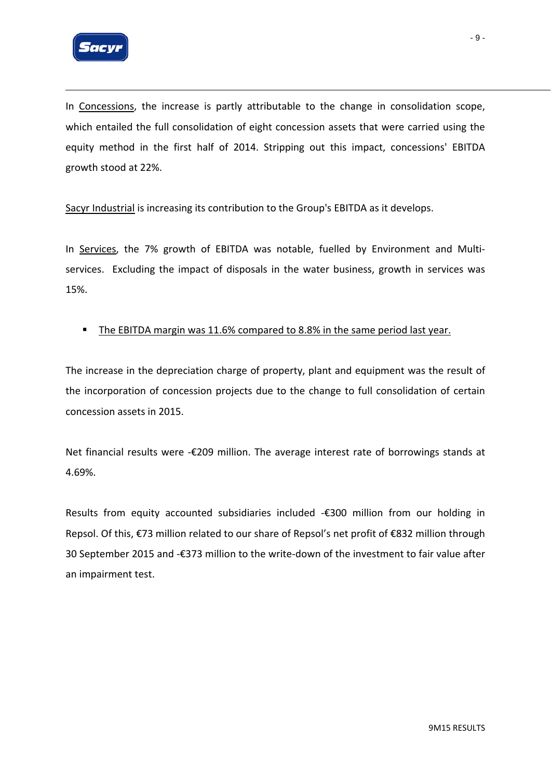

In Concessions, the increase is partly attributable to the change in consolidation scope, which entailed the full consolidation of eight concession assets that were carried using the equity method in the first half of 2014. Stripping out this impact, concessions' EBITDA growth stood at 22%.

Sacyr Industrial is increasing its contribution to the Group's EBITDA as it develops.

In Services, the 7% growth of EBITDA was notable, fuelled by Environment and Multiservices. Excluding the impact of disposals in the water business, growth in services was 15%.

### The EBITDA margin was 11.6% compared to 8.8% in the same period last year.

The increase in the depreciation charge of property, plant and equipment was the result of the incorporation of concession projects due to the change to full consolidation of certain concession assets in 2015.

Net financial results were -€209 million. The average interest rate of borrowings stands at 4.69%.

Results from equity accounted subsidiaries included ‐€300 million from our holding in Repsol. Of this, €73 million related to our share of Repsol's net profit of €832 million through 30 September 2015 and ‐€373 million to the write‐down of the investment to fair value after an impairment test.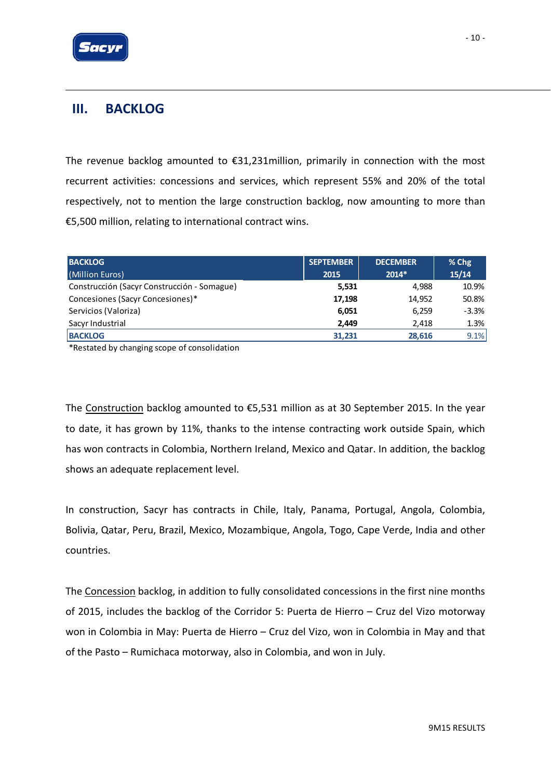

### **III. BACKLOG**

The revenue backlog amounted to €31,231million, primarily in connection with the most recurrent activities: concessions and services, which represent 55% and 20% of the total respectively, not to mention the large construction backlog, now amounting to more than €5,500 million, relating to international contract wins.

| <b>BACKLOG</b>                              | <b>SEPTEMBER</b> | <b>DECEMBER</b> | $%$ Chg |
|---------------------------------------------|------------------|-----------------|---------|
| (Million Euros)                             | 2015             | $2014*$         | 15/14   |
| Construcción (Sacyr Construcción - Somague) | 5,531            | 4,988           | 10.9%   |
| Concesiones (Sacyr Concesiones)*            | 17,198           | 14.952          | 50.8%   |
| Servicios (Valoriza)                        | 6,051            | 6,259           | $-3.3%$ |
| Sacyr Industrial                            | 2,449            | 2,418           | 1.3%    |
| <b>BACKLOG</b>                              | 31,231           | 28,616          | 9.1%    |

\*Restated by changing scope of consolidation

The Construction backlog amounted to €5,531 million as at 30 September 2015. In the year to date, it has grown by 11%, thanks to the intense contracting work outside Spain, which has won contracts in Colombia, Northern Ireland, Mexico and Qatar. In addition, the backlog shows an adequate replacement level.

In construction, Sacyr has contracts in Chile, Italy, Panama, Portugal, Angola, Colombia, Bolivia, Qatar, Peru, Brazil, Mexico, Mozambique, Angola, Togo, Cape Verde, India and other countries.

The Concession backlog, in addition to fully consolidated concessions in the first nine months of 2015, includes the backlog of the Corridor 5: Puerta de Hierro – Cruz del Vizo motorway won in Colombia in May: Puerta de Hierro – Cruz del Vizo, won in Colombia in May and that of the Pasto – Rumichaca motorway, also in Colombia, and won in July.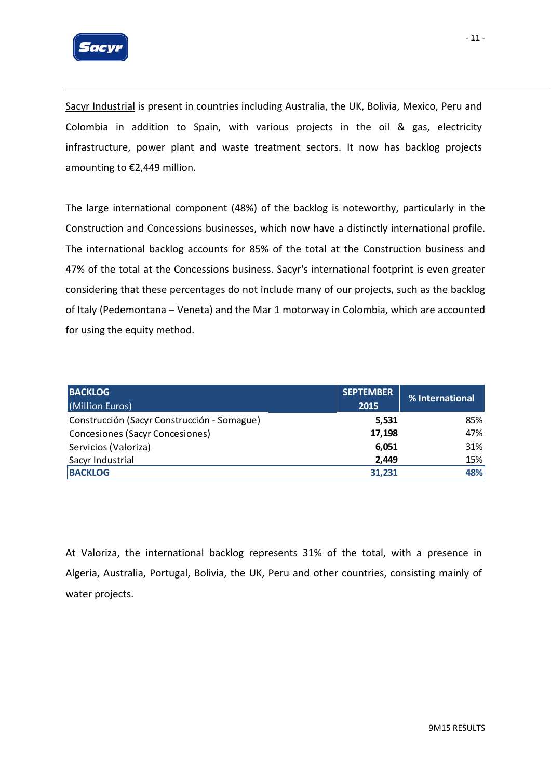

Sacyr Industrial is present in countries including Australia, the UK, Bolivia, Mexico, Peru and Colombia in addition to Spain, with various projects in the oil & gas, electricity infrastructure, power plant and waste treatment sectors. It now has backlog projects amounting to €2,449 million.

The large international component (48%) of the backlog is noteworthy, particularly in the Construction and Concessions businesses, which now have a distinctly international profile. The international backlog accounts for 85% of the total at the Construction business and 47% of the total at the Concessions business. Sacyr's international footprint is even greater considering that these percentages do not include many of our projects, such as the backlog of Italy (Pedemontana – Veneta) and the Mar 1 motorway in Colombia, which are accounted for using the equity method.

| <b>BACKLOG</b><br>(Million Euros)           | <b>SEPTEMBER</b><br>2015 | % International |
|---------------------------------------------|--------------------------|-----------------|
| Construcción (Sacyr Construcción - Somague) | 5,531                    | 85%             |
| Concesiones (Sacyr Concesiones)             | 17,198                   | 47%             |
| Servicios (Valoriza)                        | 6,051                    | 31%             |
| Sacyr Industrial                            | 2,449                    | 15%             |
| <b>BACKLOG</b>                              | 31.231                   | 48%             |

At Valoriza, the international backlog represents 31% of the total, with a presence in Algeria, Australia, Portugal, Bolivia, the UK, Peru and other countries, consisting mainly of water projects.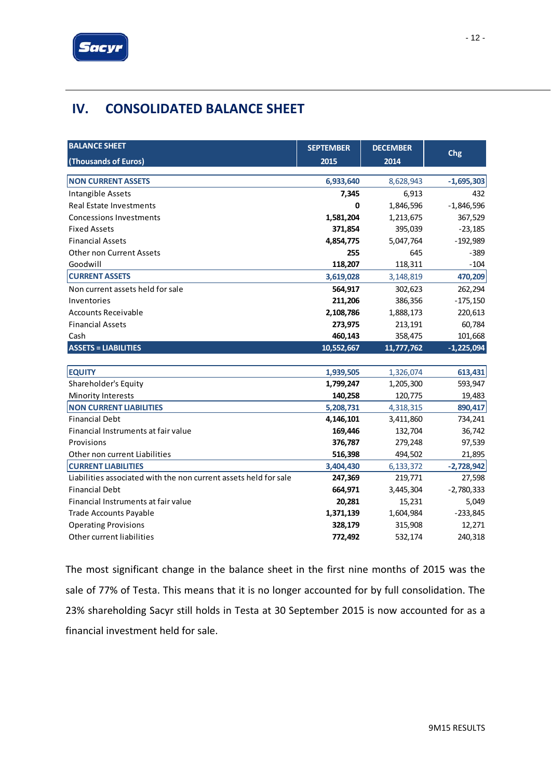

# **IV. CONSOLIDATED BALANCE SHEET**

| <b>BALANCE SHEET</b>                                             | <b>SEPTEMBER</b> | <b>DECEMBER</b> |              |
|------------------------------------------------------------------|------------------|-----------------|--------------|
| (Thousands of Euros)                                             | 2015             | 2014            | Chg          |
|                                                                  |                  |                 |              |
| <b>NON CURRENT ASSETS</b>                                        | 6,933,640        | 8,628,943       | $-1,695,303$ |
| Intangible Assets                                                | 7,345            | 6,913           | 432          |
| <b>Real Estate Investments</b>                                   | 0                | 1,846,596       | $-1,846,596$ |
| <b>Concessions Investments</b>                                   | 1,581,204        | 1,213,675       | 367,529      |
| <b>Fixed Assets</b>                                              | 371,854          | 395,039         | $-23,185$    |
| <b>Financial Assets</b>                                          | 4,854,775        | 5,047,764       | $-192,989$   |
| <b>Other non Current Assets</b>                                  | 255              | 645             | $-389$       |
| Goodwill                                                         | 118,207          | 118,311         | $-104$       |
| <b>CURRENT ASSETS</b>                                            | 3,619,028        | 3,148,819       | 470,209      |
| Non current assets held for sale                                 | 564,917          | 302,623         | 262,294      |
| Inventories                                                      | 211,206          | 386,356         | $-175,150$   |
| <b>Accounts Receivable</b>                                       | 2,108,786        | 1,888,173       | 220,613      |
| <b>Financial Assets</b>                                          | 273,975          | 213,191         | 60,784       |
| Cash                                                             | 460,143          | 358,475         | 101,668      |
| <b>ASSETS = LIABILITIES</b>                                      | 10,552,667       | 11,777,762      | $-1,225,094$ |
|                                                                  |                  |                 |              |
| <b>EQUITY</b>                                                    | 1,939,505        | 1,326,074       | 613,431      |
| Shareholder's Equity                                             | 1,799,247        | 1,205,300       | 593,947      |
| Minority Interests                                               | 140,258          | 120,775         | 19,483       |
| <b>NON CURRENT LIABILITIES</b>                                   | 5,208,731        | 4,318,315       | 890,417      |
| <b>Financial Debt</b>                                            | 4,146,101        | 3,411,860       | 734,241      |
| Financial Instruments at fair value                              | 169,446          | 132,704         | 36,742       |
| Provisions                                                       | 376,787          | 279,248         | 97,539       |
| Other non current Liabilities                                    | 516,398          | 494,502         | 21,895       |
| <b>CURRENT LIABILITIES</b>                                       | 3,404,430        | 6,133,372       | $-2,728,942$ |
| Liabilities associated with the non current assets held for sale | 247,369          | 219,771         | 27,598       |
| <b>Financial Debt</b>                                            | 664,971          | 3,445,304       | $-2,780,333$ |
| Financial Instruments at fair value                              | 20,281           | 15,231          | 5,049        |
| <b>Trade Accounts Payable</b>                                    | 1,371,139        | 1,604,984       | $-233,845$   |
| <b>Operating Provisions</b>                                      | 328,179          | 315,908         | 12,271       |
| Other current liabilities                                        | 772,492          | 532,174         | 240,318      |

The most significant change in the balance sheet in the first nine months of 2015 was the sale of 77% of Testa. This means that it is no longer accounted for by full consolidation. The 23% shareholding Sacyr still holds in Testa at 30 September 2015 is now accounted for as a financial investment held for sale.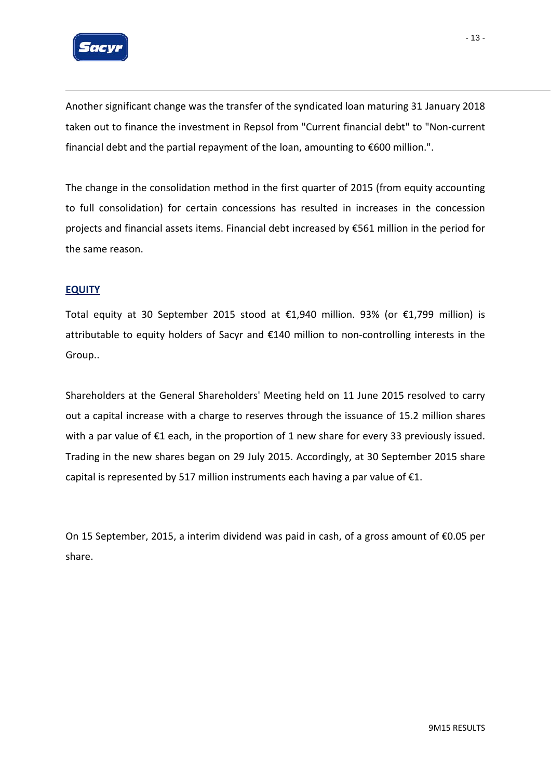

Another significant change was the transfer of the syndicated loan maturing 31 January 2018 taken out to finance the investment in Repsol from "Current financial debt" to "Non‐current financial debt and the partial repayment of the loan, amounting to €600 million.".

The change in the consolidation method in the first quarter of 2015 (from equity accounting to full consolidation) for certain concessions has resulted in increases in the concession projects and financial assets items. Financial debt increased by €561 million in the period for the same reason.

### **EQUITY**

Total equity at 30 September 2015 stood at €1,940 million. 93% (or  $€1,799$  million) is attributable to equity holders of Sacyr and €140 million to non‐controlling interests in the Group..

Shareholders at the General Shareholders' Meeting held on 11 June 2015 resolved to carry out a capital increase with a charge to reserves through the issuance of 15.2 million shares with a par value of  $\epsilon$ 1 each, in the proportion of 1 new share for every 33 previously issued. Trading in the new shares began on 29 July 2015. Accordingly, at 30 September 2015 share capital is represented by 517 million instruments each having a par value of  $\epsilon$ 1.

On 15 September, 2015, a interim dividend was paid in cash, of a gross amount of €0.05 per share.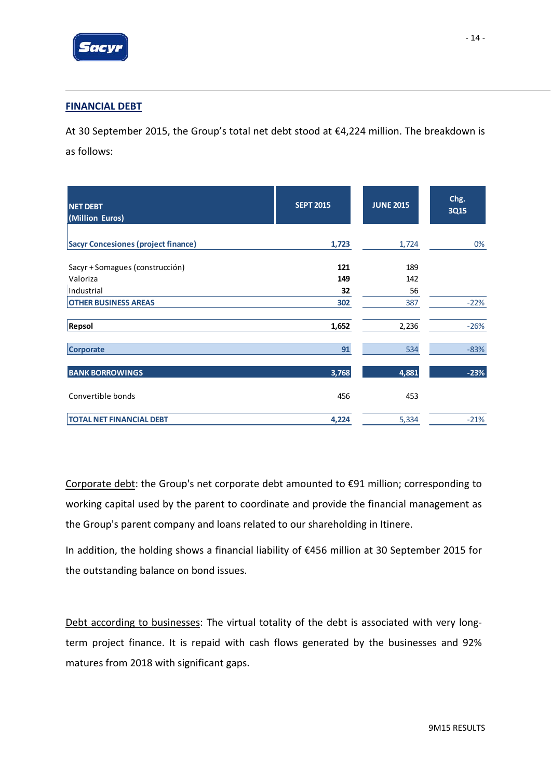

### **FINANCIAL DEBT**

At 30 September 2015, the Group's total net debt stood at €4,224 million. The breakdown is as follows:

| <b>NET DEBT</b><br>(Million Euros)         | <b>SEPT 2015</b> | <b>JUNE 2015</b> | Chg.<br><b>3Q15</b> |
|--------------------------------------------|------------------|------------------|---------------------|
| <b>Sacyr Concesiones (project finance)</b> | 1,723            | 1,724            | 0%                  |
|                                            |                  |                  |                     |
| Sacyr + Somagues (construcción)            | 121              | 189              |                     |
| Valoriza                                   | 149              | 142              |                     |
| Industrial                                 | 32               | 56               |                     |
| <b>OTHER BUSINESS AREAS</b>                | 302              | 387              | $-22%$              |
| Repsol                                     | 1,652            | 2,236            | $-26%$              |
| <b>Corporate</b>                           | 91               | 534              | $-83%$              |
| <b>BANK BORROWINGS</b>                     | 3,768            | 4,881            | $-23%$              |
| Convertible bonds                          | 456              | 453              |                     |
| <b>TOTAL NET FINANCIAL DEBT</b>            | 4,224            | 5,334            | $-21%$              |

Corporate debt: the Group's net corporate debt amounted to €91 million; corresponding to working capital used by the parent to coordinate and provide the financial management as the Group's parent company and loans related to our shareholding in Itinere.

In addition, the holding shows a financial liability of €456 million at 30 September 2015 for the outstanding balance on bond issues.

Debt according to businesses: The virtual totality of the debt is associated with very longterm project finance. It is repaid with cash flows generated by the businesses and 92% matures from 2018 with significant gaps.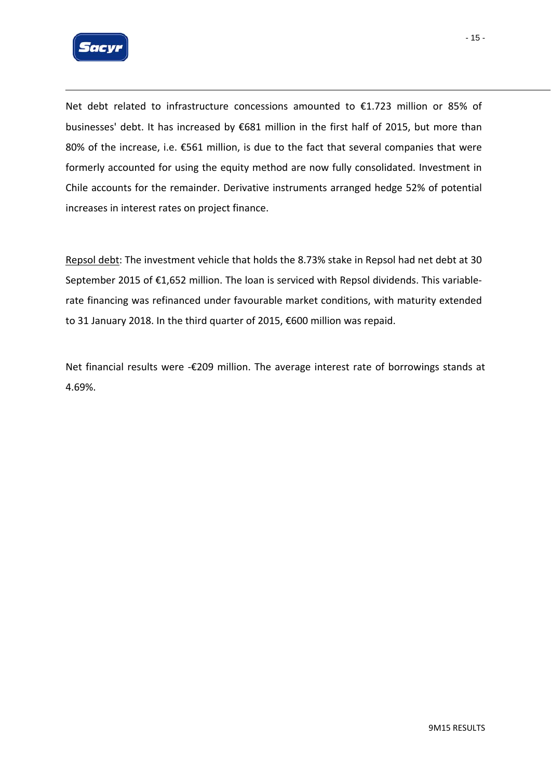

Net debt related to infrastructure concessions amounted to €1.723 million or 85% of businesses' debt. It has increased by €681 million in the first half of 2015, but more than 80% of the increase, i.e. €561 million, is due to the fact that several companies that were formerly accounted for using the equity method are now fully consolidated. Investment in Chile accounts for the remainder. Derivative instruments arranged hedge 52% of potential increases in interest rates on project finance.

Repsol debt: The investment vehicle that holds the 8.73% stake in Repsol had net debt at 30 September 2015 of €1,652 million. The loan is serviced with Repsol dividends. This variable‐ rate financing was refinanced under favourable market conditions, with maturity extended to 31 January 2018. In the third quarter of 2015, €600 million was repaid.

Net financial results were -€209 million. The average interest rate of borrowings stands at 4.69%.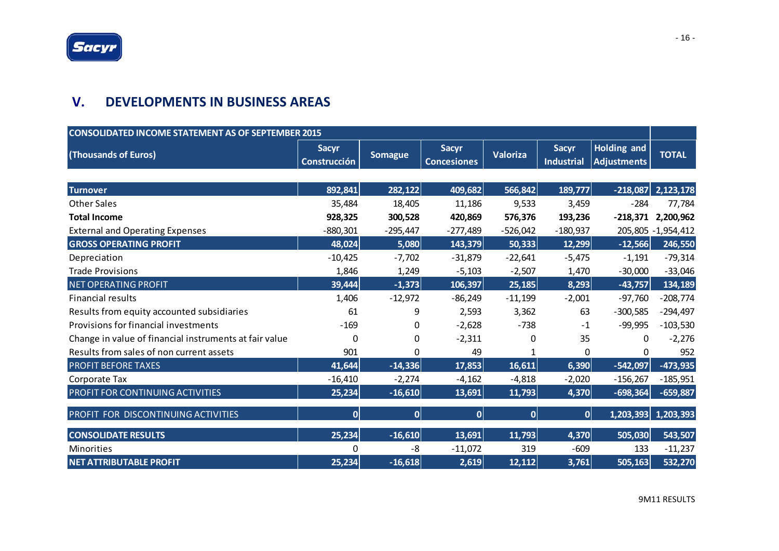### **V. DEVELOPMENTS IN BUSINESS AREAS**

| <b>CONSOLIDATED INCOME STATEMENT AS OF SEPTEMBER 2015</b> |                                     |                |                                    |            |                                   |                                          |                     |  |
|-----------------------------------------------------------|-------------------------------------|----------------|------------------------------------|------------|-----------------------------------|------------------------------------------|---------------------|--|
| (Thousands of Euros)                                      | <b>Sacyr</b><br><b>Construcción</b> | <b>Somague</b> | <b>Sacyr</b><br><b>Concesiones</b> | Valoriza   | <b>Sacyr</b><br><b>Industrial</b> | <b>Holding and</b><br><b>Adjustments</b> | <b>TOTAL</b>        |  |
|                                                           |                                     |                |                                    |            |                                   |                                          |                     |  |
| <b>Turnover</b>                                           | 892,841                             | 282,122        | 409,682                            | 566,842    | 189,777                           | $-218,087$                               | 2,123,178           |  |
| <b>Other Sales</b>                                        | 35,484                              | 18,405         | 11,186                             | 9,533      | 3,459                             | $-284$                                   | 77,784              |  |
| <b>Total Income</b>                                       | 928,325                             | 300,528        | 420,869                            | 576,376    | 193,236                           | $-218,371$                               | 2,200,962           |  |
| <b>External and Operating Expenses</b>                    | $-880,301$                          | $-295,447$     | $-277,489$                         | $-526,042$ | $-180,937$                        |                                          | 205,805 - 1,954,412 |  |
| <b>GROSS OPERATING PROFIT</b>                             | 48,024                              | 5,080          | 143,379                            | 50,333     | 12,299                            | $-12,566$                                | 246,550             |  |
| Depreciation                                              | $-10,425$                           | $-7,702$       | $-31,879$                          | $-22,641$  | $-5,475$                          | $-1,191$                                 | $-79,314$           |  |
| <b>Trade Provisions</b>                                   | 1,846                               | 1,249          | $-5,103$                           | $-2,507$   | 1,470                             | $-30,000$                                | $-33,046$           |  |
| <b>NET OPERATING PROFIT</b>                               | 39,444                              | $-1,373$       | 106,397                            | 25,185     | 8,293                             | $-43,757$                                | 134,189             |  |
| <b>Financial results</b>                                  | 1,406                               | $-12,972$      | $-86,249$                          | $-11,199$  | $-2,001$                          | $-97,760$                                | $-208,774$          |  |
| Results from equity accounted subsidiaries                | 61                                  | 9              | 2,593                              | 3,362      | 63                                | $-300,585$                               | $-294,497$          |  |
| Provisions for financial investments                      | $-169$                              | 0              | $-2,628$                           | $-738$     | $-1$                              | $-99,995$                                | $-103,530$          |  |
| Change in value of financial instruments at fair value    | 0                                   | 0              | $-2,311$                           | $\Omega$   | 35                                | 0                                        | $-2,276$            |  |
| Results from sales of non current assets                  | 901                                 | 0              | 49                                 | 1          | 0                                 | 0                                        | 952                 |  |
| <b>PROFIT BEFORE TAXES</b>                                | 41,644                              | $-14,336$      | 17,853                             | 16,611     | 6,390                             | $-542,097$                               | $-473,935$          |  |
| Corporate Tax                                             | $-16,410$                           | $-2,274$       | $-4,162$                           | $-4,818$   | $-2,020$                          | $-156,267$                               | $-185,951$          |  |
| PROFIT FOR CONTINUING ACTIVITIES                          | 25,234                              | $-16,610$      | 13,691                             | 11,793     | 4,370                             | $-698,364$                               | $-659,887$          |  |
| PROFIT FOR DISCONTINUING ACTIVITIES                       | 0                                   | 0              | 0                                  | 0          | 0                                 | 1,203,393                                | 1,203,393           |  |
| <b>CONSOLIDATE RESULTS</b>                                | 25,234                              | $-16,610$      | 13,691                             | 11,793     | 4,370                             | 505,030                                  | 543,507             |  |
| <b>Minorities</b>                                         | 0                                   | -8             | $-11,072$                          | 319        | $-609$                            | 133                                      | $-11,237$           |  |
| <b>NET ATTRIBUTABLE PROFIT</b>                            | 25,234                              | $-16,618$      | 2,619                              | 12,112     | 3,761                             | 505, 163                                 | 532,270             |  |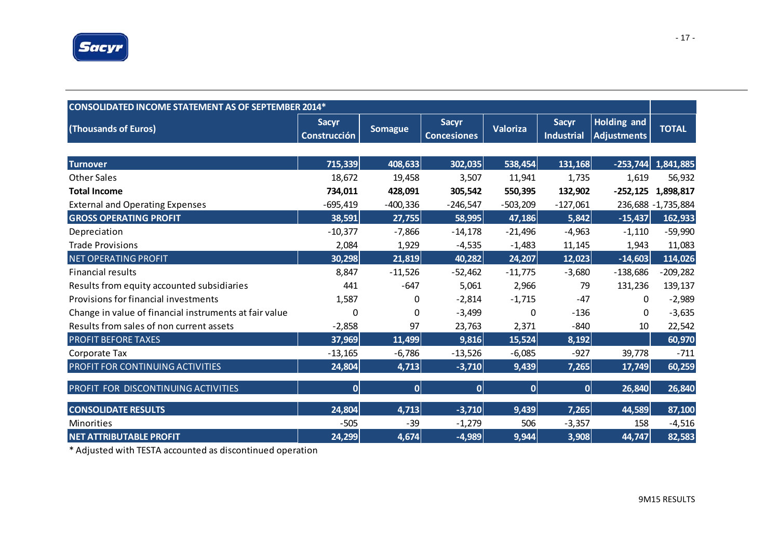

| <b>CONSOLIDATED INCOME STATEMENT AS OF SEPTEMBER 2014*</b> |                                     |                |                                    |                 |                                   |                                          |                     |  |
|------------------------------------------------------------|-------------------------------------|----------------|------------------------------------|-----------------|-----------------------------------|------------------------------------------|---------------------|--|
| (Thousands of Euros)                                       | <b>Sacyr</b><br><b>Construcción</b> | <b>Somague</b> | <b>Sacyr</b><br><b>Concesiones</b> | <b>Valoriza</b> | <b>Sacyr</b><br><b>Industrial</b> | <b>Holding and</b><br><b>Adjustments</b> | <b>TOTAL</b>        |  |
|                                                            |                                     |                |                                    |                 |                                   |                                          |                     |  |
| <b>Turnover</b>                                            | 715,339                             | 408,633        | 302,035                            | 538,454         | 131,168                           | $-253,744$                               | 1,841,885           |  |
| <b>Other Sales</b>                                         | 18,672                              | 19,458         | 3,507                              | 11,941          | 1,735                             | 1,619                                    | 56,932              |  |
| <b>Total Income</b>                                        | 734,011                             | 428,091        | 305,542                            | 550,395         | 132,902                           | $-252,125$                               | 1,898,817           |  |
| <b>External and Operating Expenses</b>                     | $-695,419$                          | $-400,336$     | $-246,547$                         | $-503,209$      | $-127,061$                        |                                          | 236,688 - 1,735,884 |  |
| <b>GROSS OPERATING PROFIT</b>                              | 38,591                              | 27,755         | 58,995                             | 47,186          | 5,842                             | $-15,437$                                | 162,933             |  |
| Depreciation                                               | $-10,377$                           | $-7,866$       | $-14,178$                          | $-21,496$       | $-4,963$                          | $-1,110$                                 | $-59,990$           |  |
| <b>Trade Provisions</b>                                    | 2,084                               | 1,929          | $-4,535$                           | $-1,483$        | 11,145                            | 1,943                                    | 11,083              |  |
| <b>NET OPERATING PROFIT</b>                                | 30,298                              | 21,819         | 40,282                             | 24,207          | 12,023                            | $-14,603$                                | 114,026             |  |
| <b>Financial results</b>                                   | 8,847                               | $-11,526$      | $-52,462$                          | $-11,775$       | $-3,680$                          | $-138,686$                               | $-209,282$          |  |
| Results from equity accounted subsidiaries                 | 441                                 | $-647$         | 5,061                              | 2,966           | 79                                | 131,236                                  | 139,137             |  |
| Provisions for financial investments                       | 1,587                               | 0              | $-2,814$                           | $-1,715$        | $-47$                             | 0                                        | $-2,989$            |  |
| Change in value of financial instruments at fair value     | 0                                   | $\Omega$       | $-3,499$                           | 0               | $-136$                            | $\Omega$                                 | $-3,635$            |  |
| Results from sales of non current assets                   | $-2,858$                            | 97             | 23,763                             | 2,371           | $-840$                            | 10                                       | 22,542              |  |
| <b>PROFIT BEFORE TAXES</b>                                 | 37,969                              | 11,499         | 9,816                              | 15,524          | 8,192                             |                                          | 60,970              |  |
| Corporate Tax                                              | $-13,165$                           | $-6,786$       | $-13,526$                          | $-6,085$        | $-927$                            | 39,778                                   | $-711$              |  |
| PROFIT FOR CONTINUING ACTIVITIES                           | 24,804                              | 4,713          | $-3,710$                           | 9,439           | 7,265                             | 17,749                                   | 60,259              |  |
| PROFIT FOR DISCONTINUING ACTIVITIES                        | 0                                   | 0              | $\mathbf{0}$                       | 0               | $\overline{0}$                    | 26,840                                   | 26,840              |  |
| <b>CONSOLIDATE RESULTS</b>                                 | 24,804                              | 4,713          | $-3,710$                           | 9,439           | 7,265                             | 44,589                                   | 87,100              |  |
| Minorities                                                 | $-505$                              | $-39$          | $-1,279$                           | 506             | $-3,357$                          | 158                                      | $-4,516$            |  |
| <b>NET ATTRIBUTABLE PROFIT</b>                             | 24,299                              | 4,674          | $-4,989$                           | 9,944           | 3,908                             | 44,747                                   | 82,583              |  |

\* Adjusted with TESTA accounted as discontinued operation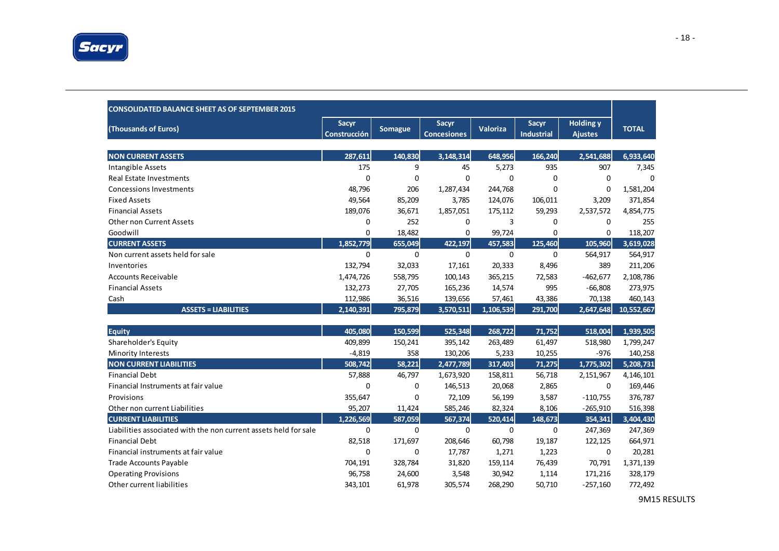

| <b>CONSOLIDATED BALANCE SHEET AS OF SEPTEMBER 2015</b>           |                                     |                |                             |                 |                            |                                    |              |
|------------------------------------------------------------------|-------------------------------------|----------------|-----------------------------|-----------------|----------------------------|------------------------------------|--------------|
| (Thousands of Euros)                                             | <b>Sacyr</b><br><b>Construcción</b> | <b>Somague</b> | Sacyr<br><b>Concesiones</b> | <b>Valoriza</b> | Sacyr<br><b>Industrial</b> | <b>Holding y</b><br><b>Ajustes</b> | <b>TOTAL</b> |
| <b>NON CURRENT ASSETS</b>                                        | 287,611                             | 140,830        | 3,148,314                   | 648,956         | 166,240                    | 2,541,688                          | 6,933,640    |
| Intangible Assets                                                | 175                                 | 9              | 45                          | 5,273           | 935                        | 907                                | 7,345        |
| Real Estate Investments                                          | $\mathbf{0}$                        | $\mathbf 0$    | $\Omega$                    | $\Omega$        | $\Omega$                   | $\mathbf 0$                        | $\Omega$     |
| <b>Concessions Investments</b>                                   | 48,796                              | 206            | 1,287,434                   | 244,768         | 0                          | 0                                  | 1,581,204    |
|                                                                  |                                     |                |                             |                 |                            |                                    |              |
| <b>Fixed Assets</b><br><b>Financial Assets</b>                   | 49,564                              | 85,209         | 3,785                       | 124,076         | 106,011                    | 3,209                              | 371,854      |
| <b>Other non Current Assets</b>                                  | 189,076                             | 36,671<br>252  | 1,857,051                   | 175,112<br>3    | 59,293                     | 2,537,572                          | 4,854,775    |
| Goodwill                                                         | 0<br>0                              |                | 0                           |                 | 0<br>$\Omega$              | $\mathbf 0$                        | 255          |
|                                                                  |                                     | 18,482         | 0                           | 99,724          |                            | $\mathbf 0$                        | 118,207      |
| <b>CURRENT ASSETS</b>                                            | 1.852.779                           | 655,049        | 422,197                     | 457,583         | 125,460                    | 105,960                            | 3,619,028    |
| Non current assets held for sale                                 | $\mathbf 0$                         | $\mathbf 0$    | $\mathbf 0$                 | $\mathbf 0$     | $\mathbf 0$                | 564,917                            | 564,917      |
| Inventories                                                      | 132,794                             | 32,033         | 17,161                      | 20,333          | 8,496                      | 389                                | 211,206      |
| <b>Accounts Receivable</b>                                       | 1,474,726                           | 558,795        | 100,143                     | 365,215         | 72,583                     | $-462,677$                         | 2,108,786    |
| <b>Financial Assets</b>                                          | 132,273                             | 27,705         | 165,236                     | 14,574          | 995                        | $-66,808$                          | 273,975      |
| Cash                                                             | 112,986                             | 36,516         | 139,656                     | 57,461          | 43,386                     | 70,138                             | 460,143      |
| <b>ASSETS = LIABILITIES</b>                                      | 2,140,391                           | 795,879        | 3,570,511                   | 1,106,539       | 291,700                    | 2,647,648                          | 10,552,667   |
|                                                                  |                                     |                |                             |                 |                            |                                    |              |
| <b>Equity</b>                                                    | 405,080                             | 150,599        | 525,348                     | 268,722         | 71,752                     | 518,004                            | 1,939,505    |
| Shareholder's Equity                                             | 409,899                             | 150,241        | 395,142                     | 263,489         | 61,497                     | 518,980                            | 1,799,247    |
| Minority Interests                                               | $-4,819$                            | 358            | 130,206                     | 5,233           | 10,255                     | $-976$                             | 140,258      |
| <b>NON CURRENT LIABILITIES</b>                                   | 508,742                             | 58,221         | 2,477,789                   | 317,403         | 71,275                     | 1,775,302                          | 5,208,731    |
| <b>Financial Debt</b>                                            | 57,888                              | 46,797         | 1,673,920                   | 158,811         | 56,718                     | 2,151,967                          | 4,146,101    |
| Financial Instruments at fair value                              | $\Omega$                            | 0              | 146,513                     | 20,068          | 2,865                      | $\mathbf 0$                        | 169,446      |
| Provisions                                                       | 355,647                             | 0              | 72,109                      | 56,199          | 3,587                      | $-110,755$                         | 376,787      |
| Other non current Liabilities                                    | 95,207                              | 11,424         | 585,246                     | 82,324          | 8,106                      | $-265,910$                         | 516,398      |
| <b>CURRENT LIABILITIES</b>                                       | 1,226,569                           | 587,059        | 567,374                     | 520,414         | 148,673                    | 354,341                            | 3,404,430    |
| Liabilities associated with the non current assets held for sale | $\mathbf 0$                         | $\mathbf 0$    | 0                           | $\Omega$        | $\Omega$                   | 247,369                            | 247,369      |
| <b>Financial Debt</b>                                            | 82,518                              | 171,697        | 208,646                     | 60,798          | 19,187                     | 122,125                            | 664,971      |
| Financial instruments at fair value                              | 0                                   | $\mathbf 0$    | 17,787                      | 1,271           | 1,223                      | 0                                  | 20,281       |
| <b>Trade Accounts Payable</b>                                    | 704,191                             | 328,784        | 31,820                      | 159,114         | 76,439                     | 70,791                             | 1,371,139    |
| <b>Operating Provisions</b>                                      | 96,758                              | 24,600         | 3,548                       | 30,942          | 1,114                      | 171,216                            | 328,179      |
| Other current liabilities                                        | 343,101                             | 61,978         | 305,574                     | 268,290         | 50,710                     | $-257,160$                         | 772,492      |

9M15 RESULTS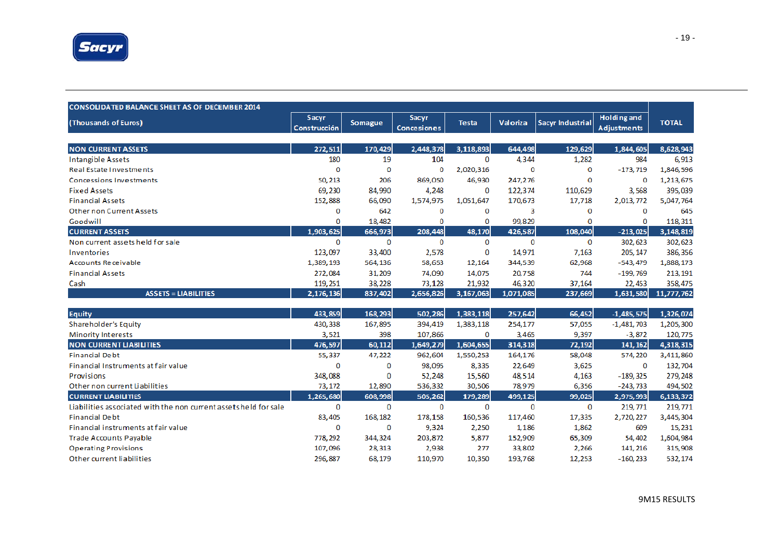

| <b>CONSOLIDATED BALANCE SHEET AS OF DECEMBER 2014</b> |                                     |         |                                    |              |           |                         |                                          |              |
|-------------------------------------------------------|-------------------------------------|---------|------------------------------------|--------------|-----------|-------------------------|------------------------------------------|--------------|
| (Thousands of Euros)                                  | <b>Sacyr</b><br><b>Construcción</b> | Somague | <b>Sacyr</b><br><b>Concesiones</b> | <b>Testa</b> | Valoriza  | <b>Sacyr Industrial</b> | <b>Holding and</b><br><b>Adjustments</b> | <b>TOTAL</b> |
|                                                       |                                     |         |                                    |              |           |                         |                                          |              |
| <b>NON CURRENT ASSETS</b>                             | 272,511                             | 170,429 | 2,448,378                          | 3,118,893    | 644,498   | 129,629                 | 1,844,605                                | 8,628,943    |
| Intangible Assets                                     | 180                                 | 19      | 104                                | 0            | 4,344     | 1,282                   | 984                                      | 6,913        |
| <b>Real Estate Investments</b>                        | 0                                   | о       | 0                                  | 2,020,316    | 0         | 0                       | $-173,719$                               | 1,846,596    |
| <b>Concessions Investments</b>                        | 50,213                              | 206     | 869,050                            | 46,930       | 247,276   | 0                       | 0                                        | 1,213,675    |
| <b>Fixed Assets</b>                                   | 69,230                              | 84,990  | 4,248                              | $\Omega$     | 122,374   | 110,629                 | 3,568                                    | 395,039      |
| <b>Financial Assets</b>                               | 152,888                             | 66,090  | 1,574,975                          | 1,051,647    | 170,673   | 17,718                  | 2,013,772                                | 5,047,764    |
| <b>Other non Current Assets</b>                       | 0                                   | 642     | 0                                  | $\Omega$     | 3         | $\Omega$                | $\Omega$                                 | 645          |
| Goodwill                                              | 0                                   | 18,482  | 0                                  |              | 99,829    |                         | 0                                        | 118, 311     |
| <b>CURRENT ASSETS</b>                                 | 1,903,625                           | 666,973 | 208,448                            | 48,170       | 426,587   | 108,040                 | $-213,025$                               | 3,148,819    |
| Non current assets held for sale                      | 0                                   | 0       | 0                                  | $\Omega$     | 0         | $\Omega$                | 302,623                                  | 302,623      |
| Inventories                                           | 123,097                             | 33,400  | 2,578                              | 0            | 14,971    | 7.163                   | 205, 147                                 | 386, 356     |
| <b>Accounts Receivable</b>                            | 1,389,193                           | 564,136 | 58,653                             | 12,164       | 344,539   | 62,968                  | $-543,479$                               | 1,888,173    |
| <b>Financial Assets</b>                               | 272,084                             | 31,209  | 74,090                             | 14,075       | 20,758    | 744                     | $-199,769$                               | 213, 191     |
| Cash                                                  | 119,251                             | 38,228  | 73,128                             | 21,932       | 46,320    | 37,164                  | 22,453                                   | 358, 475     |
| $ASSETS = LIABILITIES$                                | 2,176,136                           | 837,402 | 2,656,826                          | 3,167,063    | 1,071,085 | 237,669                 | 1,631,580                                | 11,777,762   |

| <b>Equity</b>                                                    | 433,859   | 168,293 | 502,286   | 1,383,118 | 257,642 | 66,452 | $-1,485,575$ | 1,326,074 |
|------------------------------------------------------------------|-----------|---------|-----------|-----------|---------|--------|--------------|-----------|
| Shareholder's Equity                                             | 430,338   | 167,895 | 394,419   | 1,383,118 | 254,177 | 57,055 | $-1,481,703$ | 1,205,300 |
| <b>Minority Interests</b>                                        | 3,521     | 398     | 107,866   | 0         | 3,465   | 9,397  | $-3,872$     | 120,775   |
| <b>NON CURRENT LIABILITIES</b>                                   | 476,597   | 60,112  | 1,649,279 | 1,604,655 | 314,318 | 72,192 | 141, 162     | 4,318,315 |
| <b>Financial Debt</b>                                            | 55,337    | 47,222  | 962,604   | 1,550,253 | 164,176 | 58,048 | 574, 220     | 3,411,860 |
| Financial Instruments at fair value                              | 0         | o       | 98,095    | 8,335     | 22,649  | 3,625  | 0            | 132,704   |
| Provisions                                                       | 348,088   | 0       | 52,248    | 15,560    | 48,514  | 4,163  | $-189.325$   | 279, 248  |
| Other non current Liabilities                                    | 73,172    | 12,890  | 536,332   | 30,506    | 78,979  | 6,356  | $-243,733$   | 494,502   |
| <b>CURRENT LIABILITIES</b>                                       | 1,265,680 | 608,998 | 505,262   | 179,289   | 499,125 | 99,025 | 2,975,993    | 6,133,372 |
| Liabilities associated with the non current assets held for sale | 0         | 0       | 0         | 0         | 0       | 0      | 219, 771     | 219, 771  |
| <b>Financial Debt</b>                                            | 83,405    | 168,182 | 178,158   | 160,536   | 117,460 | 17,335 | 2,720,227    | 3,445,304 |
| Financial instruments at fair value                              | 0         | o       | 9,324     | 2,250     | 1,186   | 1,862  | 609          | 15, 231   |
| Trade Accounts Pavable                                           | 778.292   | 344,324 | 203,872   | 5.877     | 152,909 | 65,309 | 54,402       | 1,604,984 |
| <b>Operating Provisions</b>                                      | 107,096   | 28,313  | 2,938     | 277       | 33,802  | 2,266  | 141, 216     | 315,908   |
| Other current liabilities                                        | 296,887   | 68,179  | 110,970   | 10,350    | 193.768 | 12,253 | $-160,233$   | 532, 174  |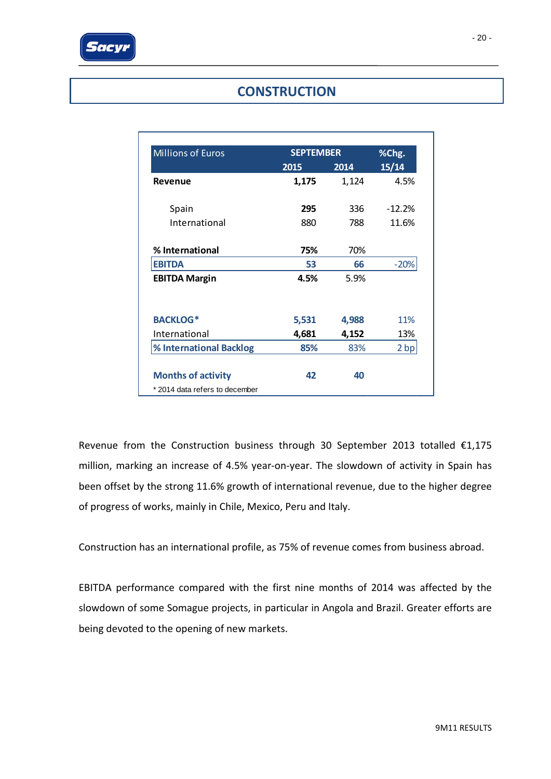

### **CONSTRUCTION**

| <b>Millions of Euros</b>      | <b>SEPTEMBER</b> | %Chg. |          |
|-------------------------------|------------------|-------|----------|
|                               | 2015             | 2014  | 15/14    |
| Revenue                       | 1,175            | 1,124 | 4.5%     |
| Spain                         | 295              | 336   | $-12.2%$ |
| International                 | 880              | 788   | 11.6%    |
| % International               | 75%              | 70%   |          |
| <b>EBITDA</b>                 | 53               | 66    | $-20%$   |
| <b>EBITDA Margin</b>          | 4.5%             | 5.9%  |          |
| <b>BACKLOG*</b>               | 5,531            | 4,988 | 11%      |
| International                 | 4,681            | 4,152 | 13%      |
| % International Backlog       | 85%              | 83%   | 2 bp     |
| <b>Months of activity</b>     | 42               | 40    |          |
| *2014 data refers to december |                  |       |          |

Revenue from the Construction business through 30 September 2013 totalled €1,175 million, marking an increase of 4.5% year-on-year. The slowdown of activity in Spain has been offset by the strong 11.6% growth of international revenue, due to the higher degree of progress of works, mainly in Chile, Mexico, Peru and Italy.

Construction has an international profile, as 75% of revenue comes from business abroad.

EBITDA performance compared with the first nine months of 2014 was affected by the slowdown of some Somague projects, in particular in Angola and Brazil. Greater efforts are being devoted to the opening of new markets.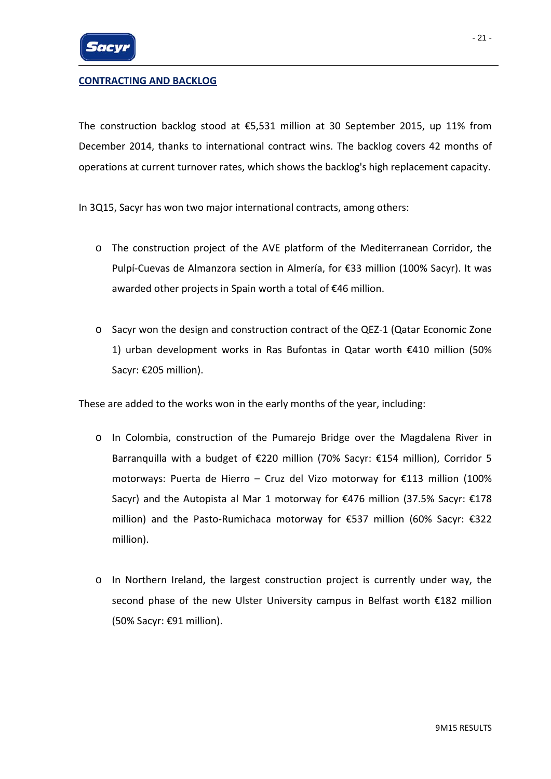

### **CONTRACTING AND BACKLOG**

The construction backlog stood at €5,531 million at 30 September 2015, up 11% from December 2014, thanks to international contract wins. The backlog covers 42 months of operations at current turnover rates, which shows the backlog's high replacement capacity.

In 3Q15, Sacyr has won two major international contracts, among others:

- o The construction project of the AVE platform of the Mediterranean Corridor, the Pulpí‐Cuevas de Almanzora section in Almería, for €33 million (100% Sacyr). It was awarded other projects in Spain worth a total of €46 million.
- o Sacyr won the design and construction contract of the QEZ‐1 (Qatar Economic Zone 1) urban development works in Ras Bufontas in Qatar worth €410 million (50% Sacyr: €205 million).

These are added to the works won in the early months of the year, including:

- o In Colombia, construction of the Pumarejo Bridge over the Magdalena River in Barranquilla with a budget of €220 million (70% Sacyr: €154 million), Corridor 5 motorways: Puerta de Hierro – Cruz del Vizo motorway for €113 million (100% Sacyr) and the Autopista al Mar 1 motorway for €476 million (37.5% Sacyr: €178 million) and the Pasto‐Rumichaca motorway for €537 million (60% Sacyr: €322 million).
- o In Northern Ireland, the largest construction project is currently under way, the second phase of the new Ulster University campus in Belfast worth €182 million (50% Sacyr: €91 million).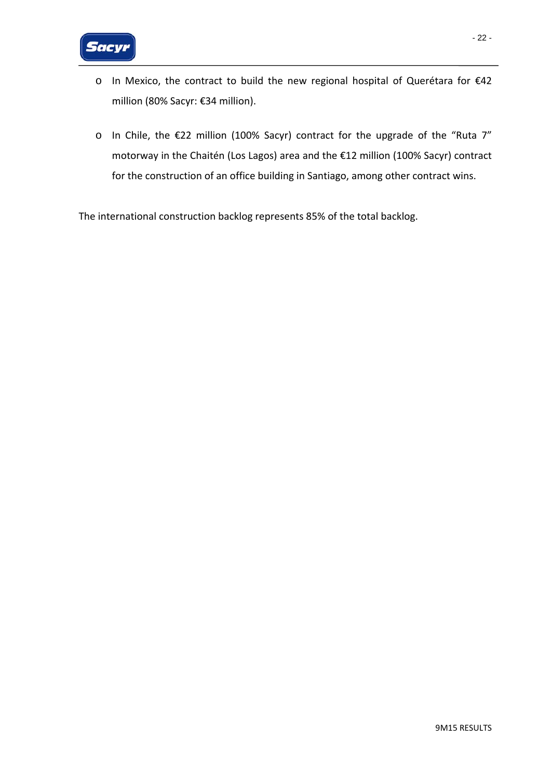

- o In Mexico, the contract to build the new regional hospital of Querétara for €42 million (80% Sacyr: €34 million).
- o In Chile, the €22 million (100% Sacyr) contract for the upgrade of the "Ruta 7" motorway in the Chaitén (Los Lagos) area and the €12 million (100% Sacyr) contract for the construction of an office building in Santiago, among other contract wins.

The international construction backlog represents 85% of the total backlog.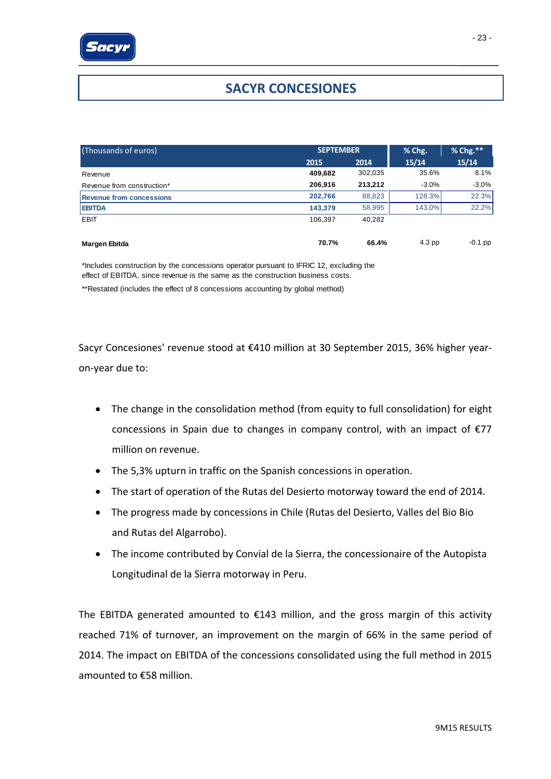# **SACYR CONCESIONES**

| (Thousands of euros)            | <b>SEPTEMBER</b> |         | % Chg.   | % Chg.**  |  |
|---------------------------------|------------------|---------|----------|-----------|--|
|                                 | 2015             | 2014    | 15/14    | 15/14     |  |
| Revenue                         | 409,682          | 302,035 | 35.6%    | 8.1%      |  |
| Revenue from construction*      | 206,916          | 213.212 | $-3.0\%$ | $-3.0\%$  |  |
| <b>Revenue from concessions</b> | 202,766          | 88,823  | 128.3%   | 22.3%     |  |
| <b>EBITDA</b>                   | 143,379          | 58,995  | 143.0%   | 22.2%     |  |
| <b>EBIT</b>                     | 106.397          | 40.282  |          |           |  |
| Margen Ebitda                   | 70.7%            | 66.4%   | 4.3 pp   | $-0.1$ pp |  |

\*Includes construction by the concessions operator pursuant to IFRIC 12, excluding the effect of EBITDA, since revenue is the same as the construction business costs.

\*\*Restated (includes the effect of 8 concessions accounting by global method)

Sacyr Concesiones' revenue stood at €410 million at 30 September 2015, 36% higher year‐ on‐year due to:

- The change in the consolidation method (from equity to full consolidation) for eight concessions in Spain due to changes in company control, with an impact of €77 million on revenue.
- The 5,3% upturn in traffic on the Spanish concessions in operation.
- The start of operation of the Rutas del Desierto motorway toward the end of 2014.
- The progress made by concessions in Chile (Rutas del Desierto, Valles del Bio Bio and Rutas del Algarrobo).
- The income contributed by Convial de la Sierra, the concessionaire of the Autopista Longitudinal de la Sierra motorway in Peru.

The EBITDA generated amounted to  $£143$  million, and the gross margin of this activity reached 71% of turnover, an improvement on the margin of 66% in the same period of 2014. The impact on EBITDA of the concessions consolidated using the full method in 2015 amounted to €58 million.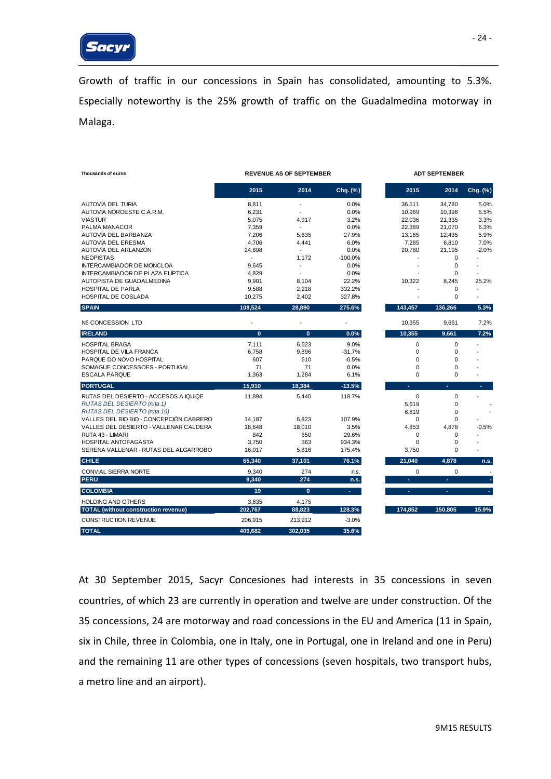

Growth of traffic in our concessions in Spain has consolidated, amounting to 5.3%. Especially noteworthy is the 25% growth of traffic on the Guadalmedina motorway in Malaga.

| Thousands of euros                          |                          | <b>REVENUE AS OF SEPTEMBER</b> |           | <b>ADT SEPTEMBER</b>     |             |                          |  |
|---------------------------------------------|--------------------------|--------------------------------|-----------|--------------------------|-------------|--------------------------|--|
|                                             | 2015                     | 2014                           | Chg. (%)  | 2015                     | 2014        | Chg. (%)                 |  |
| AUTOVÍA DEL TURIA                           | 8.811                    | $\overline{\phantom{a}}$       | 0.0%      | 36.511                   | 34.780      | 5.0%                     |  |
| AUTOVÍA NOROESTE C.A.R.M.                   | 6,231                    | $\blacksquare$                 | 0.0%      | 10,969                   | 10,396      | 5.5%                     |  |
| <b>VIASTUR</b>                              | 5,075                    | 4,917                          | 3.2%      | 22,036                   | 21,335      | 3.3%                     |  |
| PALMA MANACOR                               | 7,359                    | $\blacksquare$                 | 0.0%      | 22,389                   | 21,070      | 6.3%                     |  |
| AUTOVÍA DEL BARBANZA                        | 7.206                    | 5.635                          | 27.9%     | 13.165                   | 12.435      | 5.9%                     |  |
| AUTOVÍA DEL ERESMA                          | 4,706                    | 4,441                          | 6.0%      | 7,285                    | 6,810       | 7.0%                     |  |
| AUTOVÍA DEL ARLANZÓN                        | 24,898                   | $\blacksquare$                 | 0.0%      | 20,780                   | 21,195      | $-2.0%$                  |  |
| <b>NEOPISTAS</b>                            | $\overline{\phantom{a}}$ | 1,172                          | $-100.0%$ |                          | $\mathbf 0$ | $\overline{a}$           |  |
| INTERCAMBIADOR DE MONCLOA                   | 9,645                    | $\overline{a}$                 | 0.0%      |                          | $\mathbf 0$ |                          |  |
| INTERCAMBIADOR DE PLAZA ELÍPTICA            | 4,829                    | $\blacksquare$                 | 0.0%      |                          | $\mathbf 0$ | $\blacksquare$           |  |
| AUTOPISTA DE GUADALMEDINA                   | 9,901                    | 8,104                          | 22.2%     | 10,322                   | 8,245       | 25.2%                    |  |
| HOSPITAL DE PARLA                           | 9,588                    | 2,218                          | 332.2%    |                          | $\mathbf 0$ | $\overline{a}$           |  |
| <b>HOSPITAL DE COSLADA</b>                  | 10,275                   | 2,402                          | 327.8%    |                          | $\mathbf 0$ | $\overline{a}$           |  |
| <b>SPAIN</b>                                | 108,524                  | 28,890                         | 275.6%    | 143,457                  | 136,266     | 5.3%                     |  |
| N6 CONCESSION LTD                           |                          |                                |           | 10,355                   | 9,661       | 7.2%                     |  |
| <b>IRELAND</b>                              | $\mathbf{0}$             | $\mathbf{0}$                   | 0.0%      | 10,355                   | 9,661       | 7.2%                     |  |
| <b>HOSPITAL BRAGA</b>                       | 7,111                    | 6,523                          | 9.0%      | $\mathbf 0$              | $\mathbf 0$ |                          |  |
| HOSPITAL DE VILA FRANCA                     | 6,758                    | 9,896                          | $-31.7%$  | $\mathbf 0$              | $\mathbf 0$ |                          |  |
| PARQUE DO NOVO HOSPITAL                     | 607                      | 610                            | $-0.5%$   | $\mathbf 0$              | $\mathbf 0$ |                          |  |
| SOMAGUE CONCESSOES - PORTUGAL               | 71                       | 71                             | 0.0%      | $\mathbf 0$              | $\mathbf 0$ |                          |  |
| <b>ESCALA PARQUE</b>                        | 1,363                    | 1,284                          | 6.1%      | $\Omega$                 | $\mathbf 0$ |                          |  |
| <b>PORTUGAL</b>                             | 15,910                   | 18,384                         | $-13.5%$  | $\overline{\phantom{a}}$ | ٠           | ٠                        |  |
| RUTAS DEL DESIERTO - ACCESOS A IQUIQE       | 11.894                   | 5.440                          | 118.7%    | $\mathbf 0$              | $\mathbf 0$ |                          |  |
| RUTAS DEL DESIERTO (ruta 1)                 |                          |                                |           | 5.619                    | $\mathbf 0$ |                          |  |
| RUTAS DEL DESIERTO (ruta 16)                |                          |                                |           | 6,819                    | $\mathbf 0$ |                          |  |
| VALLES DEL BIO BIO - CONCEPCIÓN CABRERO     | 14,187                   | 6,823                          | 107.9%    | $\mathbf 0$              | $\mathbf 0$ |                          |  |
| VALLES DEL DESIERTO - VALLENAR CALDERA      | 18,648                   | 18,010                         | 3.5%      | 4,853                    | 4,878       | $-0.5%$                  |  |
| RUTA 43 - LIMARI                            | 842                      | 650                            | 29.6%     | 0                        | 0           |                          |  |
| <b>HOSPITAL ANTOFAGASTA</b>                 | 3,750                    | 363                            | 934.3%    | $\mathbf 0$              | $\mathbf 0$ |                          |  |
| SERENA VALLENAR - RUTAS DEL ALGARROBO       | 16,017                   | 5,816                          | 175.4%    | 3,750                    | $\mathbf 0$ | $\overline{\phantom{a}}$ |  |
| <b>CHILE</b>                                | 65,340                   | 37,101                         | 76.1%     | 21,040                   | 4,878       | n.s.                     |  |
| CONVIAL SIERRA NORTE                        | 9,340                    | 274                            | n.s.      | $\mathbf 0$              | $\mathbf 0$ |                          |  |
| <b>PERU</b>                                 | 9,340                    | 274                            | n.s.      | ÷                        | ÷           | ٠                        |  |
| <b>COLOMBIA</b>                             | 19                       | $\mathbf{0}$                   | ÷.        | $\sim$                   | ٠           | ٠                        |  |
| <b>HOLDING AND OTHERS</b>                   | 3,635                    | 4,175                          |           |                          |             |                          |  |
| <b>TOTAL</b> (without construction revenue) | 202,767                  | 88,823                         | 128.3%    | 174,852                  | 150,805     | 15.9%                    |  |
| CONSTRUCTION REVENUE                        | 206,915                  | 213,212                        | $-3.0%$   |                          |             |                          |  |
| <b>TOTAL</b>                                | 409,682                  | 302,035                        | 35.6%     |                          |             |                          |  |

At 30 September 2015, Sacyr Concesiones had interests in 35 concessions in seven countries, of which 23 are currently in operation and twelve are under construction. Of the 35 concessions, 24 are motorway and road concessions in the EU and America (11 in Spain, six in Chile, three in Colombia, one in Italy, one in Portugal, one in Ireland and one in Peru) and the remaining 11 are other types of concessions (seven hospitals, two transport hubs, a metro line and an airport).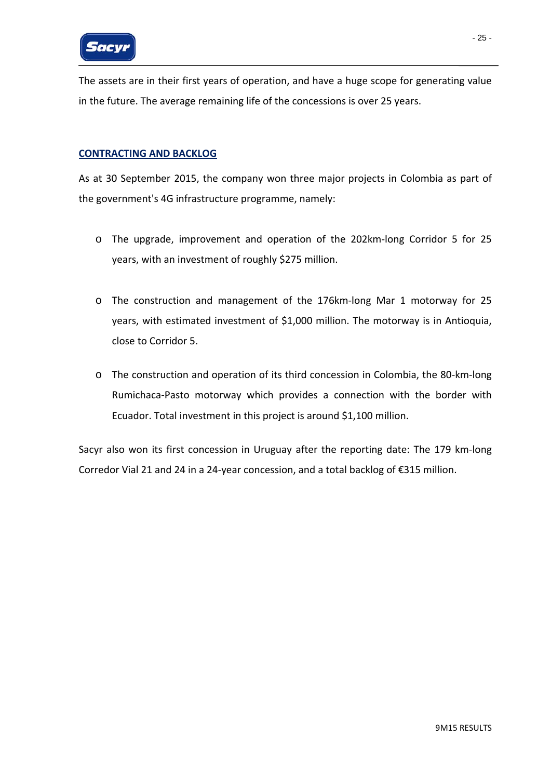

The assets are in their first years of operation, and have a huge scope for generating value in the future. The average remaining life of the concessions is over 25 years.

#### **CONTRACTING AND BACKLOG**

As at 30 September 2015, the company won three major projects in Colombia as part of the government's 4G infrastructure programme, namely:

- o The upgrade, improvement and operation of the 202km‐long Corridor 5 for 25 years, with an investment of roughly \$275 million.
- o The construction and management of the 176km‐long Mar 1 motorway for 25 years, with estimated investment of \$1,000 million. The motorway is in Antioquia, close to Corridor 5.
- o The construction and operation of its third concession in Colombia, the 80‐km‐long Rumichaca‐Pasto motorway which provides a connection with the border with Ecuador. Total investment in this project is around \$1,100 million.

Sacyr also won its first concession in Uruguay after the reporting date: The 179 km‐long Corredor Vial 21 and 24 in a 24‐year concession, and a total backlog of €315 million.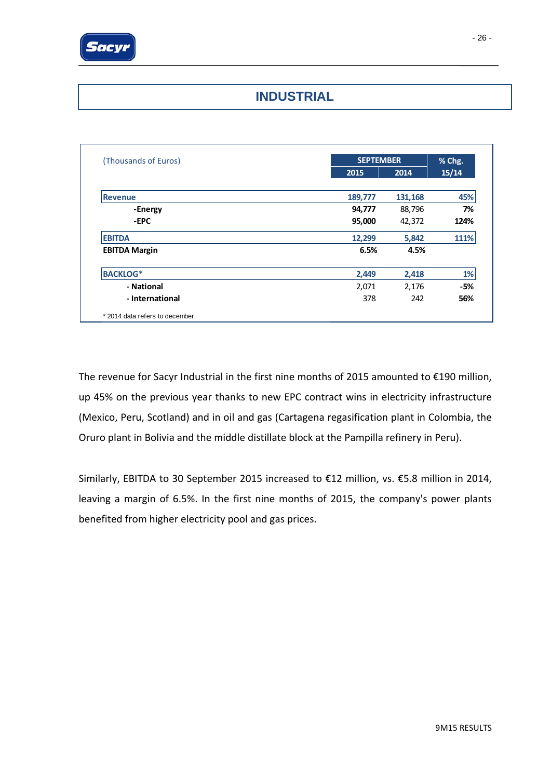

### **INDUSTRIAL**

| (Thousands of Euros) |         | <b>SEPTEMBER</b> |       |  |
|----------------------|---------|------------------|-------|--|
|                      | 2015    | 2014             | 15/14 |  |
| <b>Revenue</b>       | 189,777 | 131,168          | 45%   |  |
| -Energy              | 94,777  | 88,796           | 7%    |  |
| -EPC                 | 95,000  | 42,372           | 124%  |  |
| <b>EBITDA</b>        | 12,299  | 5,842            | 111%  |  |
| <b>EBITDA Margin</b> | 6.5%    | 4.5%             |       |  |
| <b>BACKLOG*</b>      | 2,449   | 2,418            | 1%    |  |
| - National           | 2,071   | 2,176            | -5%   |  |
| - International      | 378     | 242              | 56%   |  |

The revenue for Sacyr Industrial in the first nine months of 2015 amounted to €190 million, up 45% on the previous year thanks to new EPC contract wins in electricity infrastructure (Mexico, Peru, Scotland) and in oil and gas (Cartagena regasification plant in Colombia, the Oruro plant in Bolivia and the middle distillate block at the Pampilla refinery in Peru).

Similarly, EBITDA to 30 September 2015 increased to €12 million, vs. €5.8 million in 2014, leaving a margin of 6.5%. In the first nine months of 2015, the company's power plants benefited from higher electricity pool and gas prices.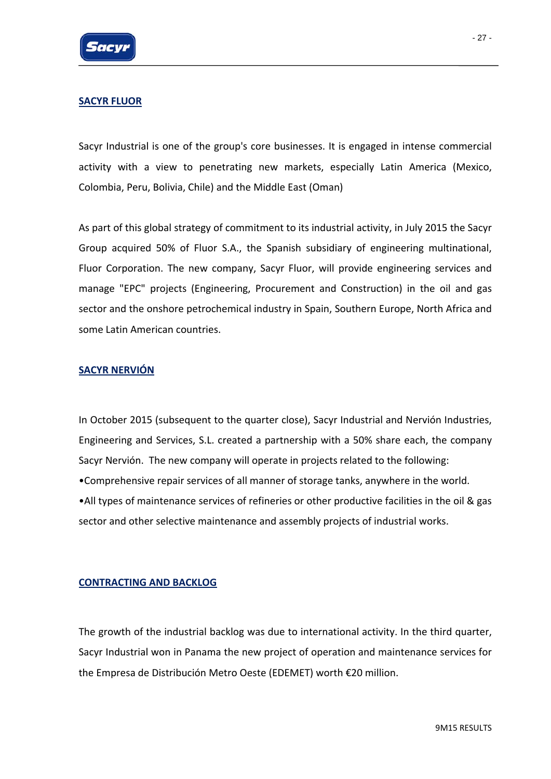### **SACYR FLUOR**

Sacyr Industrial is one of the group's core businesses. It is engaged in intense commercial activity with a view to penetrating new markets, especially Latin America (Mexico, Colombia, Peru, Bolivia, Chile) and the Middle East (Oman)

As part of this global strategy of commitment to its industrial activity, in July 2015 the Sacyr Group acquired 50% of Fluor S.A., the Spanish subsidiary of engineering multinational, Fluor Corporation. The new company, Sacyr Fluor, will provide engineering services and manage "EPC" projects (Engineering, Procurement and Construction) in the oil and gas sector and the onshore petrochemical industry in Spain, Southern Europe, North Africa and some Latin American countries.

### **SACYR NERVIÓN**

In October 2015 (subsequent to the quarter close), Sacyr Industrial and Nervión Industries, Engineering and Services, S.L. created a partnership with a 50% share each, the company Sacyr Nervión. The new company will operate in projects related to the following: •Comprehensive repair services of all manner of storage tanks, anywhere in the world. •All types of maintenance services of refineries or other productive facilities in the oil & gas sector and other selective maintenance and assembly projects of industrial works.

### **CONTRACTING AND BACKLOG**

The growth of the industrial backlog was due to international activity. In the third quarter, Sacyr Industrial won in Panama the new project of operation and maintenance services for the Empresa de Distribución Metro Oeste (EDEMET) worth €20 million.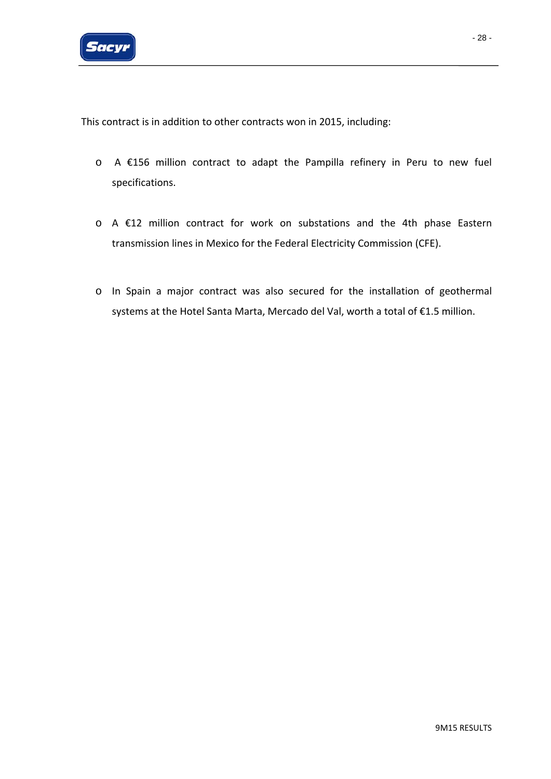

This contract is in addition to other contracts won in 2015, including:

- o A €156 million contract to adapt the Pampilla refinery in Peru to new fuel specifications.
- o A €12 million contract for work on substations and the 4th phase Eastern transmission lines in Mexico for the Federal Electricity Commission (CFE).
- o In Spain a major contract was also secured for the installation of geothermal systems at the Hotel Santa Marta, Mercado del Val, worth a total of €1.5 million.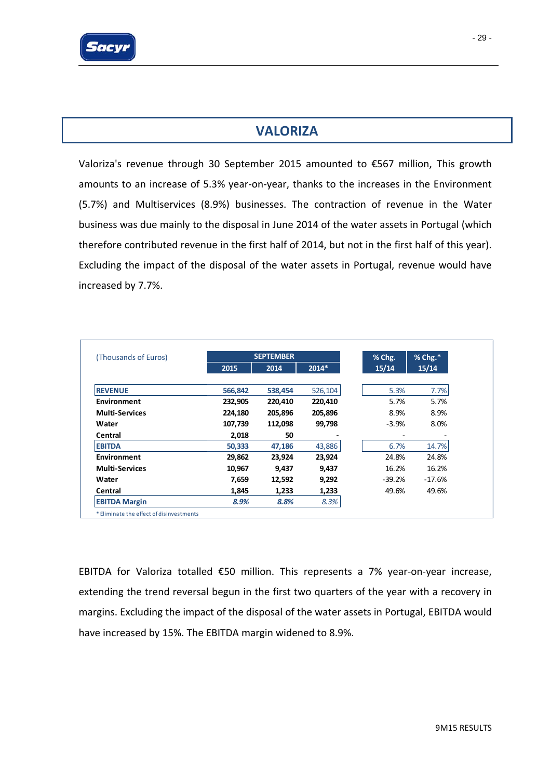

Valoriza's revenue through 30 September 2015 amounted to €567 million, This growth amounts to an increase of 5.3% year-on-year, thanks to the increases in the Environment (5.7%) and Multiservices (8.9%) businesses. The contraction of revenue in the Water business was due mainly to the disposal in June 2014 of the water assets in Portugal (which therefore contributed revenue in the first half of 2014, but not in the first half of this year). Excluding the impact of the disposal of the water assets in Portugal, revenue would have increased by 7.7%.

| (Thousands of Euros)  |         | <b>SEPTEMBER</b> |         | % Chg.   | % Chg.* |
|-----------------------|---------|------------------|---------|----------|---------|
|                       | 2015    | 2014             | 2014*   | 15/14    | 15/14   |
| <b>REVENUE</b>        | 566,842 | 538,454          | 526,104 | 5.3%     | 7.7%    |
| Environment           | 232,905 | 220,410          | 220,410 | 5.7%     | 5.7%    |
| <b>Multi-Services</b> | 224,180 | 205,896          | 205,896 | 8.9%     | 8.9%    |
| Water                 | 107,739 | 112,098          | 99,798  | $-3.9%$  | 8.0%    |
| Central               | 2,018   | 50               |         |          |         |
| <b>EBITDA</b>         | 50,333  | 47,186           | 43,886  | 6.7%     | 14.7%   |
| Environment           | 29,862  | 23,924           | 23,924  | 24.8%    | 24.8%   |
| <b>Multi-Services</b> | 10,967  | 9,437            | 9,437   | 16.2%    | 16.2%   |
| Water                 | 7,659   | 12,592           | 9,292   | $-39.2%$ | -17.6%  |
| Central               | 1,845   | 1,233            | 1,233   | 49.6%    | 49.6%   |
| <b>EBITDA Margin</b>  | 8.9%    | 8.8%             | 8.3%    |          |         |

EBITDA for Valoriza totalled €50 million. This represents a 7% year‐on‐year increase, extending the trend reversal begun in the first two quarters of the year with a recovery in margins. Excluding the impact of the disposal of the water assets in Portugal, EBITDA would have increased by 15%. The EBITDA margin widened to 8.9%.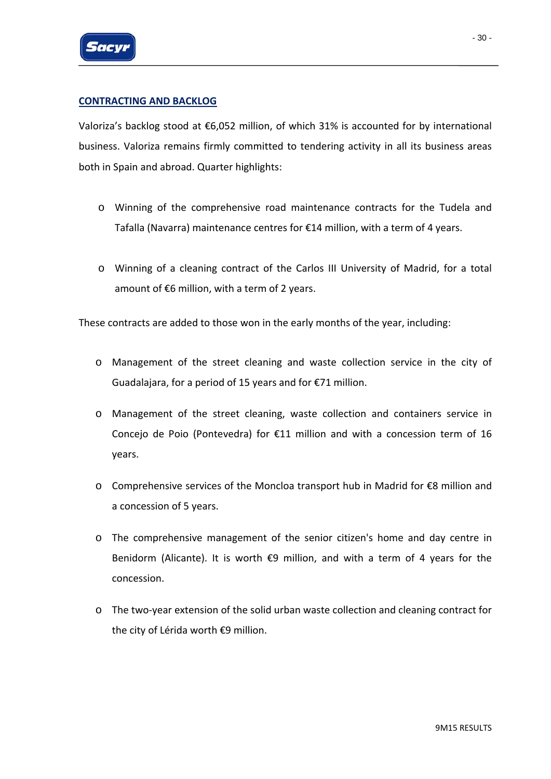

### **CONTRACTING AND BACKLOG**

Valoriza's backlog stood at €6,052 million, of which 31% is accounted for by international business. Valoriza remains firmly committed to tendering activity in all its business areas both in Spain and abroad. Quarter highlights:

- o Winning of the comprehensive road maintenance contracts for the Tudela and Tafalla (Navarra) maintenance centres for €14 million, with a term of 4 years.
- o Winning of a cleaning contract of the Carlos III University of Madrid, for a total amount of  $€6$  million, with a term of 2 years.

These contracts are added to those won in the early months of the year, including:

- o Management of the street cleaning and waste collection service in the city of Guadalajara, for a period of 15 years and for €71 million.
- o Management of the street cleaning, waste collection and containers service in Concejo de Poio (Pontevedra) for €11 million and with a concession term of 16 years.
- o Comprehensive services of the Moncloa transport hub in Madrid for €8 million and a concession of 5 years.
- o The comprehensive management of the senior citizen's home and day centre in Benidorm (Alicante). It is worth €9 million, and with a term of 4 years for the concession.
- o The two‐year extension of the solid urban waste collection and cleaning contract for the city of Lérida worth €9 million.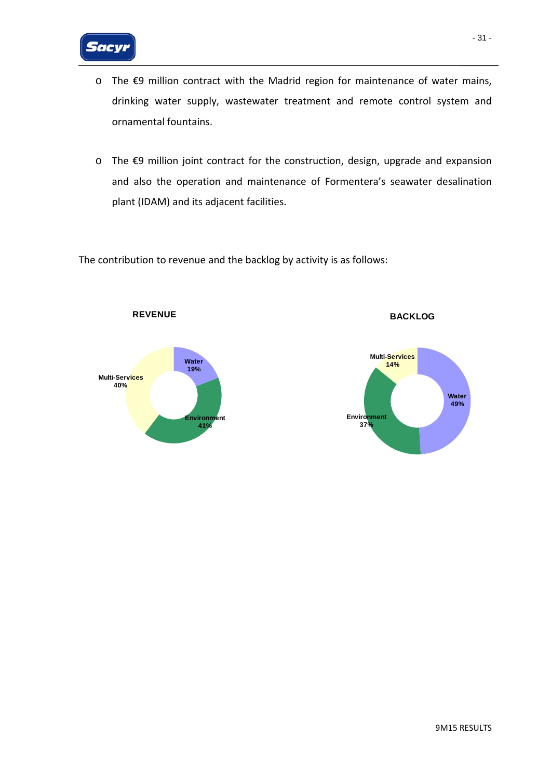

- o The €9 million contract with the Madrid region for maintenance of water mains, drinking water supply, wastewater treatment and remote control system and ornamental fountains.
- o The €9 million joint contract for the construction, design, upgrade and expansion and also the operation and maintenance of Formentera's seawater desalination plant (IDAM) and its adjacent facilities.

The contribution to revenue and the backlog by activity is as follows:



**REVENUE**



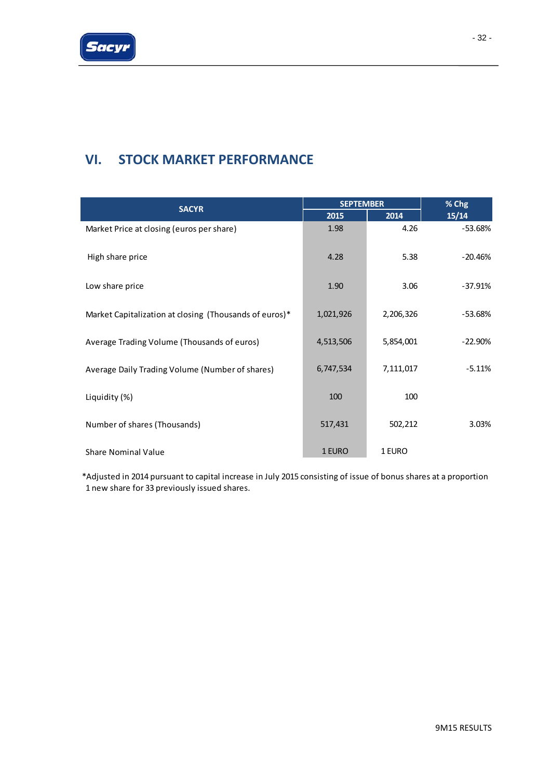# **VI. STOCK MARKET PERFORMANCE**

|                                                        | <b>SEPTEMBER</b> | % Chg     |           |
|--------------------------------------------------------|------------------|-----------|-----------|
| <b>SACYR</b>                                           | 2015             | 2014      | 15/14     |
| Market Price at closing (euros per share)              | 1.98             | 4.26      | $-53.68%$ |
| High share price                                       | 4.28             | 5.38      | $-20.46%$ |
| Low share price                                        | 1.90             | 3.06      | $-37.91%$ |
| Market Capitalization at closing (Thousands of euros)* | 1,021,926        | 2,206,326 | $-53.68%$ |
| Average Trading Volume (Thousands of euros)            | 4,513,506        | 5,854,001 | $-22.90%$ |
| Average Daily Trading Volume (Number of shares)        | 6,747,534        | 7,111,017 | $-5.11%$  |
| Liquidity (%)                                          | 100              | 100       |           |
| Number of shares (Thousands)                           | 517,431          | 502,212   | 3.03%     |
| <b>Share Nominal Value</b>                             | 1 EURO           | 1 EURO    |           |

\*Adjusted in 2014 pursuant to capital increase in July 2015 consisting of issue of bonus shares at a proportion 1 new share for 33 previously issued shares.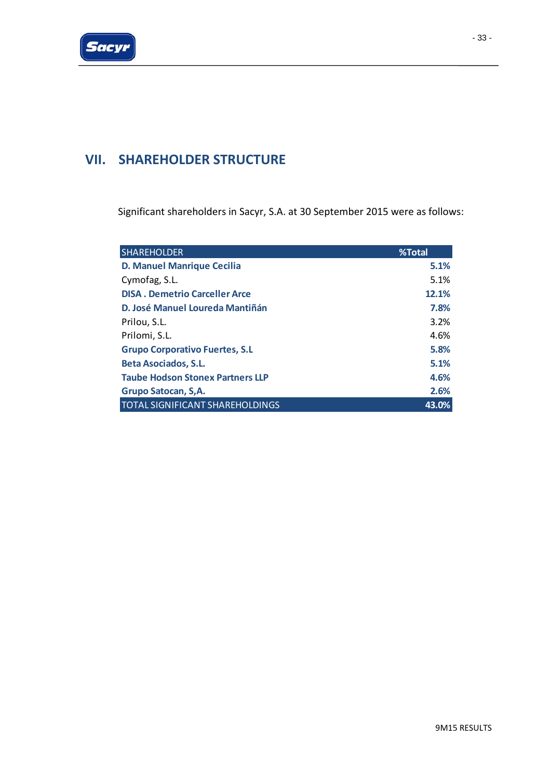# **VII. SHAREHOLDER STRUCTURE**

Significant shareholders in Sacyr, S.A. at 30 September 2015 were as follows:

| <b>SHAREHOLDER</b>                      | %Total |
|-----------------------------------------|--------|
| <b>D. Manuel Manrique Cecilia</b>       | 5.1%   |
| Cymofag, S.L.                           | 5.1%   |
| <b>DISA. Demetrio Carceller Arce</b>    | 12.1%  |
| D. José Manuel Loureda Mantiñán         | 7.8%   |
| Prilou, S.L.                            | 3.2%   |
| Prilomi, S.L.                           | 4.6%   |
| <b>Grupo Corporativo Fuertes, S.L</b>   | 5.8%   |
| <b>Beta Asociados, S.L.</b>             | 5.1%   |
| <b>Taube Hodson Stonex Partners LLP</b> | 4.6%   |
| Grupo Satocan, S.A.                     | 2.6%   |
| <b>TOTAL SIGNIFICANT SHAREHOLDINGS</b>  | 43.0%  |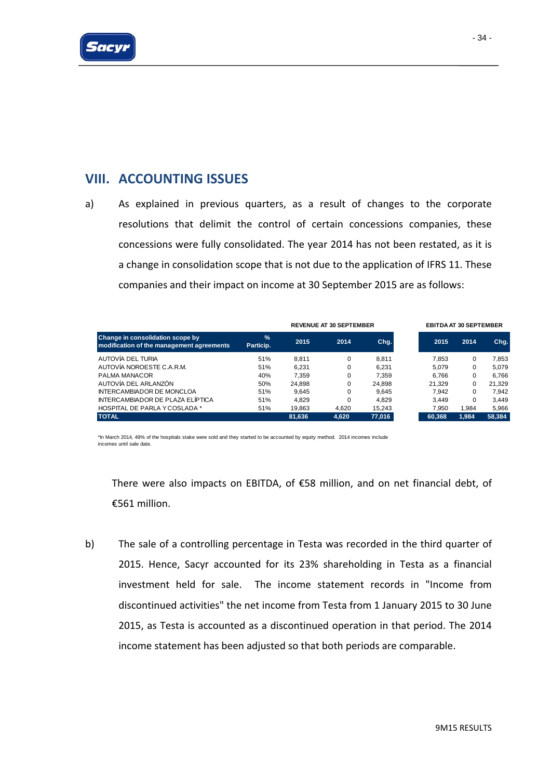

### **VIII. ACCOUNTING ISSUES**

a) As explained in previous quarters, as a result of changes to the corporate resolutions that delimit the control of certain concessions companies, these concessions were fully consolidated. The year 2014 has not been restated, as it is a change in consolidation scope that is not due to the application of IFRS 11. These companies and their impact on income at 30 September 2015 are as follows:

|                                                                               |                            | <b>REVENUE AT 30 SEPTEMBER</b> |          |        |  | <b>EBITDA AT 30 SEPTEMBER</b> |          |        |  |
|-------------------------------------------------------------------------------|----------------------------|--------------------------------|----------|--------|--|-------------------------------|----------|--------|--|
| Change in consolidation scope by<br>modification of the management agreements | $\frac{1}{2}$<br>Particip. | 2015                           | 2014     | Chg.   |  | 2015                          | 2014     | Chg.   |  |
| AUTOVÍA DEL TURIA                                                             | 51%                        | 8.811                          | 0        | 8.811  |  | 7.853                         | 0        | 7.853  |  |
| AUTOVÍA NOROESTE C.A.R.M.                                                     | 51%                        | 6.231                          | 0        | 6.231  |  | 5.079                         | 0        | 5.079  |  |
| PALMA MANACOR                                                                 | 40%                        | 7.359                          | $\Omega$ | 7.359  |  | 6.766                         | 0        | 6.766  |  |
| AUTOVÍA DEL ARLANZÓN                                                          | 50%                        | 24.898                         |          | 24.898 |  | 21.329                        | 0        | 21.329 |  |
| <b>INTERCAMBIADOR DE MONCLOA</b>                                              | 51%                        | 9.645                          | $\Omega$ | 9.645  |  | 7.942                         | $\Omega$ | 7.942  |  |
| INTERCAMBIADOR DE PLAZA ELÍPTICA                                              | 51%                        | 4.829                          | $\Omega$ | 4.829  |  | 3.449                         | 0        | 3.449  |  |
| <b>HOSPITAL DE PARLA Y COSLADA *</b>                                          | 51%                        | 19.863                         | 4.620    | 15,243 |  | 7.950                         | 1.984    | 5.966  |  |
| <b>TOTAL</b>                                                                  |                            | 81.636                         | 4.620    | 77.016 |  | 60,368                        | 1.984    | 58,384 |  |

\*In March 2014, 49% of the hospitals stake were sold and they started to be accounted by equity method. 2014 incomes include incomes until sale date.

There were also impacts on EBITDA, of €58 million, and on net financial debt, of €561 million.

b) The sale of a controlling percentage in Testa was recorded in the third quarter of 2015. Hence, Sacyr accounted for its 23% shareholding in Testa as a financial investment held for sale. The income statement records in "Income from discontinued activities" the net income from Testa from 1 January 2015 to 30 June 2015, as Testa is accounted as a discontinued operation in that period. The 2014 income statement has been adjusted so that both periods are comparable.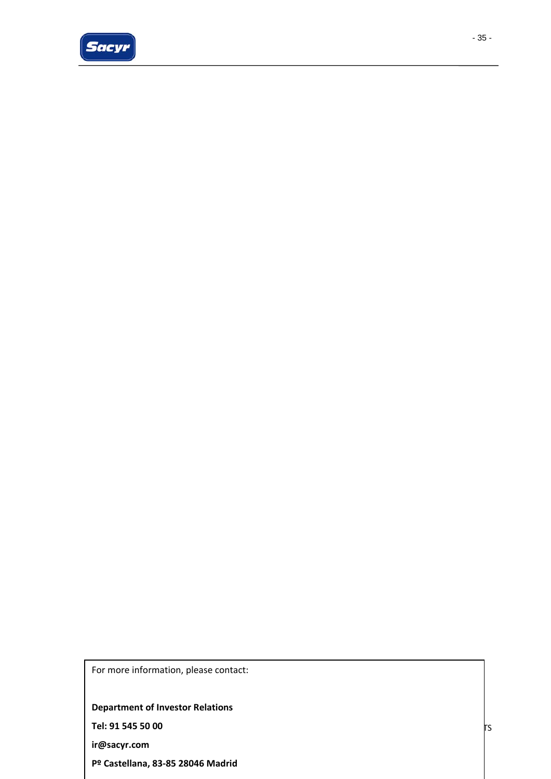

- 35 -

For more information, please contact:

**Department of Investor Relations**

**Tel: 91 545 50 00**

**ir@sacyr.com**

**Pº Castellana, 83‐85 28046 Madrid**